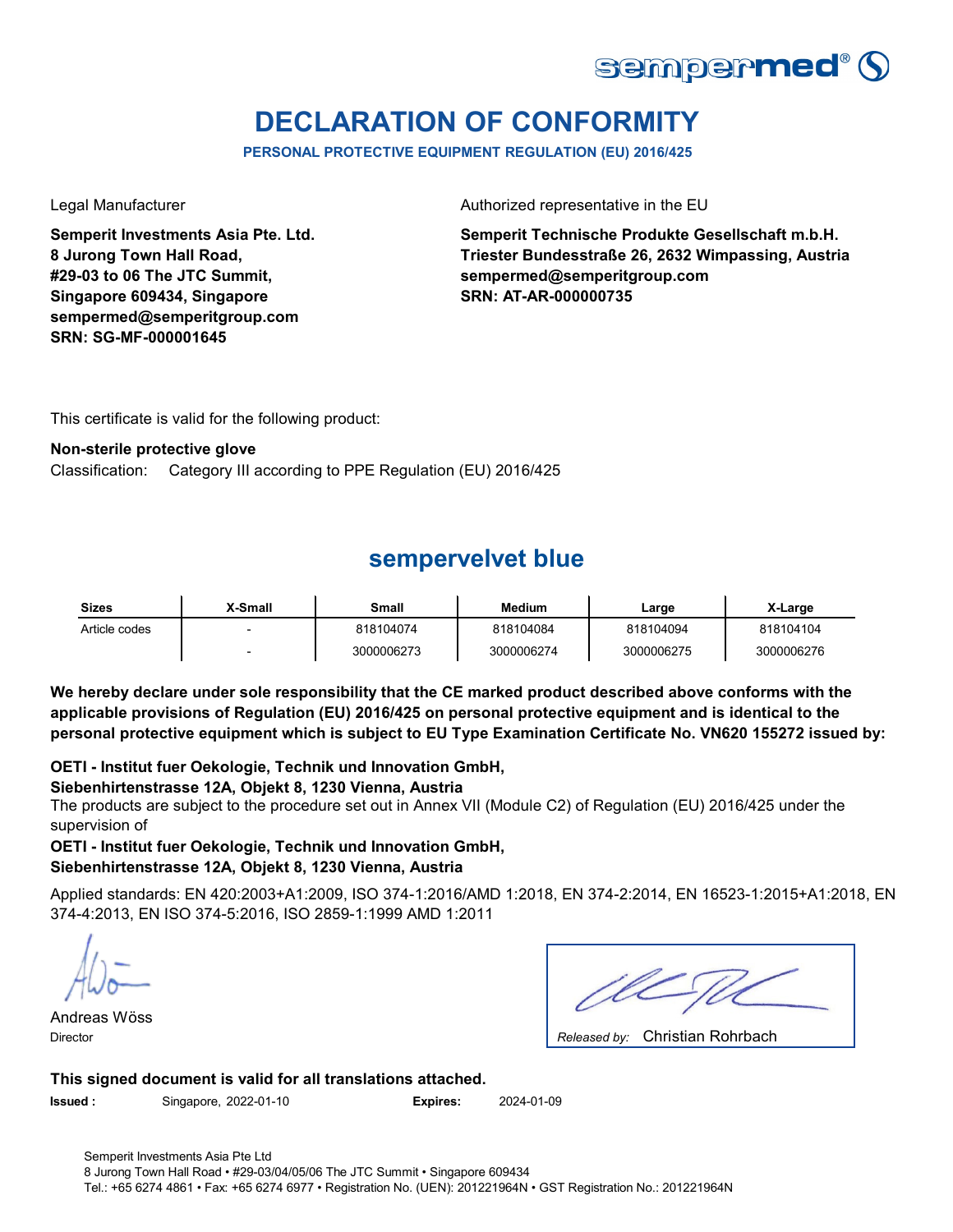

# **DECLARATION OF CONFORMITY**

**PERSONAL PROTECTIVE EQUIPMENT REGULATION (EU) 2016/425**

**Semperit Investments Asia Pte. Ltd. 8 Jurong Town Hall Road, #29-03 to 06 The JTC Summit, Singapore 609434, Singapore sempermed@semperitgroup.com SRN: SG-MF-000001645**

Legal Manufacturer **Authorized representative in the EU** 

**Semperit Technische Produkte Gesellschaft m.b.H. Triester Bundesstraße 26, 2632 Wimpassing, Austria sempermed@semperitgroup.com SRN: AT-AR-000000735**

This certificate is valid for the following product:

### **Non-sterile protective glove**

Classification: Category III according to PPE Regulation (EU) 2016/425

# **sempervelvet blue**

| <b>Sizes</b>  | X-Small | Small      | <b>Medium</b> | ∟arge      | X-Large    |
|---------------|---------|------------|---------------|------------|------------|
| Article codes |         | 818104074  | 818104084     | 818104094  | 818104104  |
|               |         | 3000006273 | 3000006274    | 3000006275 | 3000006276 |

**We hereby declare under sole responsibility that the CE marked product described above conforms with the applicable provisions of Regulation (EU) 2016/425 on personal protective equipment and is identical to the personal protective equipment which is subject to EU Type Examination Certificate No. VN620 155272 issued by:**

### **OETI - Institut fuer Oekologie, Technik und Innovation GmbH,**

### **Siebenhirtenstrasse 12A, Objekt 8, 1230 Vienna, Austria**

The products are subject to the procedure set out in Annex VII (Module C2) of Regulation (EU) 2016/425 under the supervision of

### **OETI - Institut fuer Oekologie, Technik und Innovation GmbH, Siebenhirtenstrasse 12A, Objekt 8, 1230 Vienna, Austria**

Applied standards: EN 420:2003+A1:2009, ISO 374-1:2016/AMD 1:2018, EN 374-2:2014, EN 16523-1:2015+A1:2018, EN 374-4:2013, EN ISO 374-5:2016, ISO 2859-1:1999 AMD 1:2011

Andreas Wöss Director *Released by:* 

| Released by: Christian Rohrbach |
|---------------------------------|

### **This signed document is valid for all translations attached.**

**Issued :** Singapore, 2022-01-10 **Expires:** 2024-01-09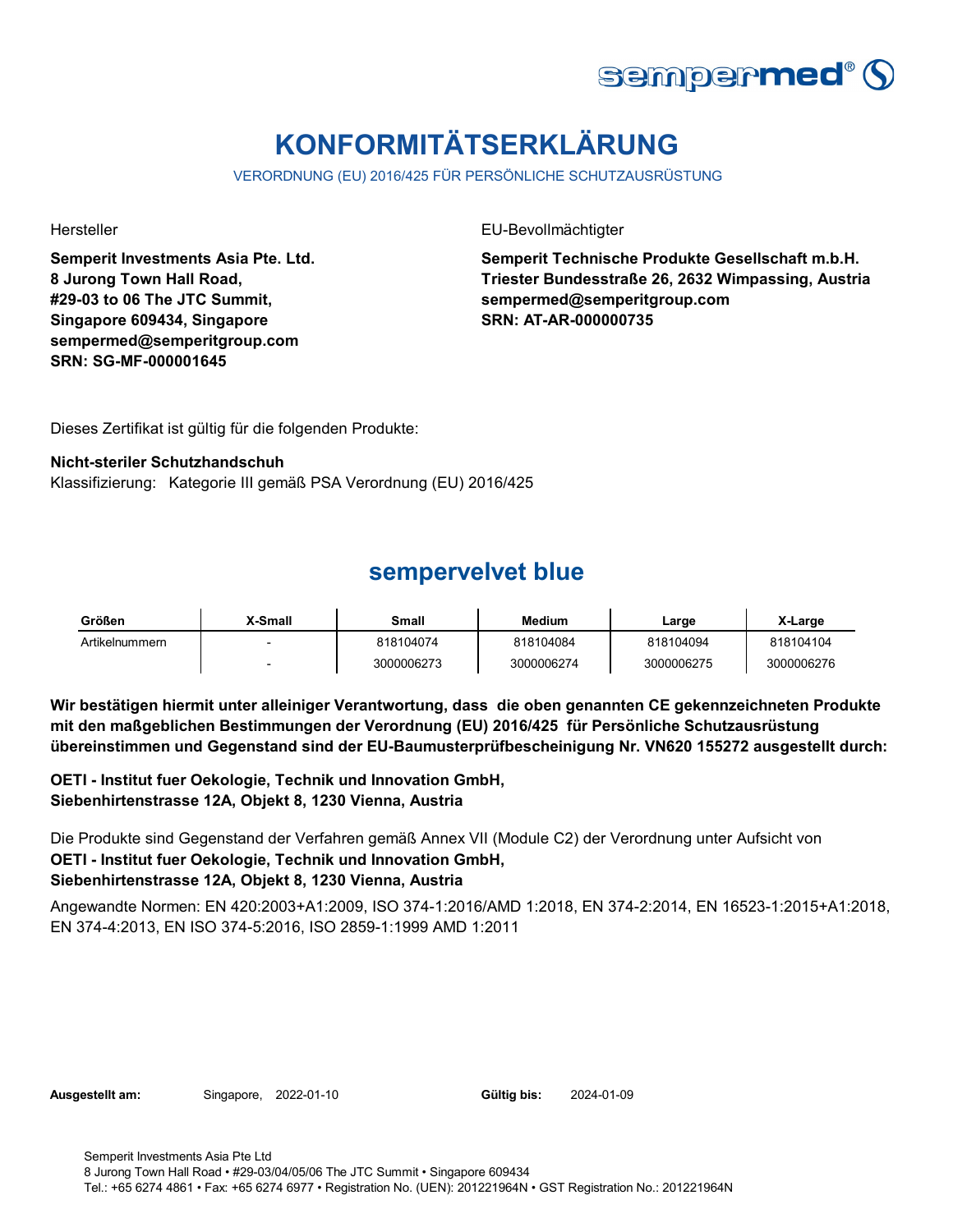

# **KONFORMITÄTSERKLÄRUNG**

VERORDNUNG (EU) 2016/425 FÜR PERSÖNLICHE SCHUTZAUSRÜSTUNG

**Semperit Investments Asia Pte. Ltd. 8 Jurong Town Hall Road, #29-03 to 06 The JTC Summit, Singapore 609434, Singapore sempermed@semperitgroup.com SRN: SG-MF-000001645**

Hersteller EU-Bevollmächtigter

**Semperit Technische Produkte Gesellschaft m.b.H. Triester Bundesstraße 26, 2632 Wimpassing, Austria sempermed@semperitgroup.com SRN: AT-AR-000000735**

Dieses Zertifikat ist gültig für die folgenden Produkte:

### **Nicht-steriler Schutzhandschuh**

Klassifizierung: Kategorie III gemäß PSA Verordnung (EU) 2016/425

### **sempervelvet blue**

| Größen         | <b>X-Small</b>           | Small      | Medium     | ∟arge      | X-Large    |
|----------------|--------------------------|------------|------------|------------|------------|
| Artikelnummern | $\overline{\phantom{0}}$ | 818104074  | 818104084  | 818104094  | 818104104  |
|                | $\overline{\phantom{0}}$ | 3000006273 | 3000006274 | 3000006275 | 3000006276 |

**Wir bestätigen hiermit unter alleiniger Verantwortung, dass die oben genannten CE gekennzeichneten Produkte mit den maßgeblichen Bestimmungen der Verordnung (EU) 2016/425 für Persönliche Schutzausrüstung übereinstimmen und Gegenstand sind der EU-Baumusterprüfbescheinigung Nr. VN620 155272 ausgestellt durch:**

**OETI - Institut fuer Oekologie, Technik und Innovation GmbH, Siebenhirtenstrasse 12A, Objekt 8, 1230 Vienna, Austria**

**OETI - Institut fuer Oekologie, Technik und Innovation GmbH, Siebenhirtenstrasse 12A, Objekt 8, 1230 Vienna, Austria** Die Produkte sind Gegenstand der Verfahren gemäß Annex VII (Module C2) der Verordnung unter Aufsicht von

Angewandte Normen: EN 420:2003+A1:2009, ISO 374-1:2016/AMD 1:2018, EN 374-2:2014, EN 16523-1:2015+A1:2018, EN 374-4:2013, EN ISO 374-5:2016, ISO 2859-1:1999 AMD 1:2011

**Ausgestellt am:** Singapore, 2022-01-10 **Gültig bis:** 2024-01-09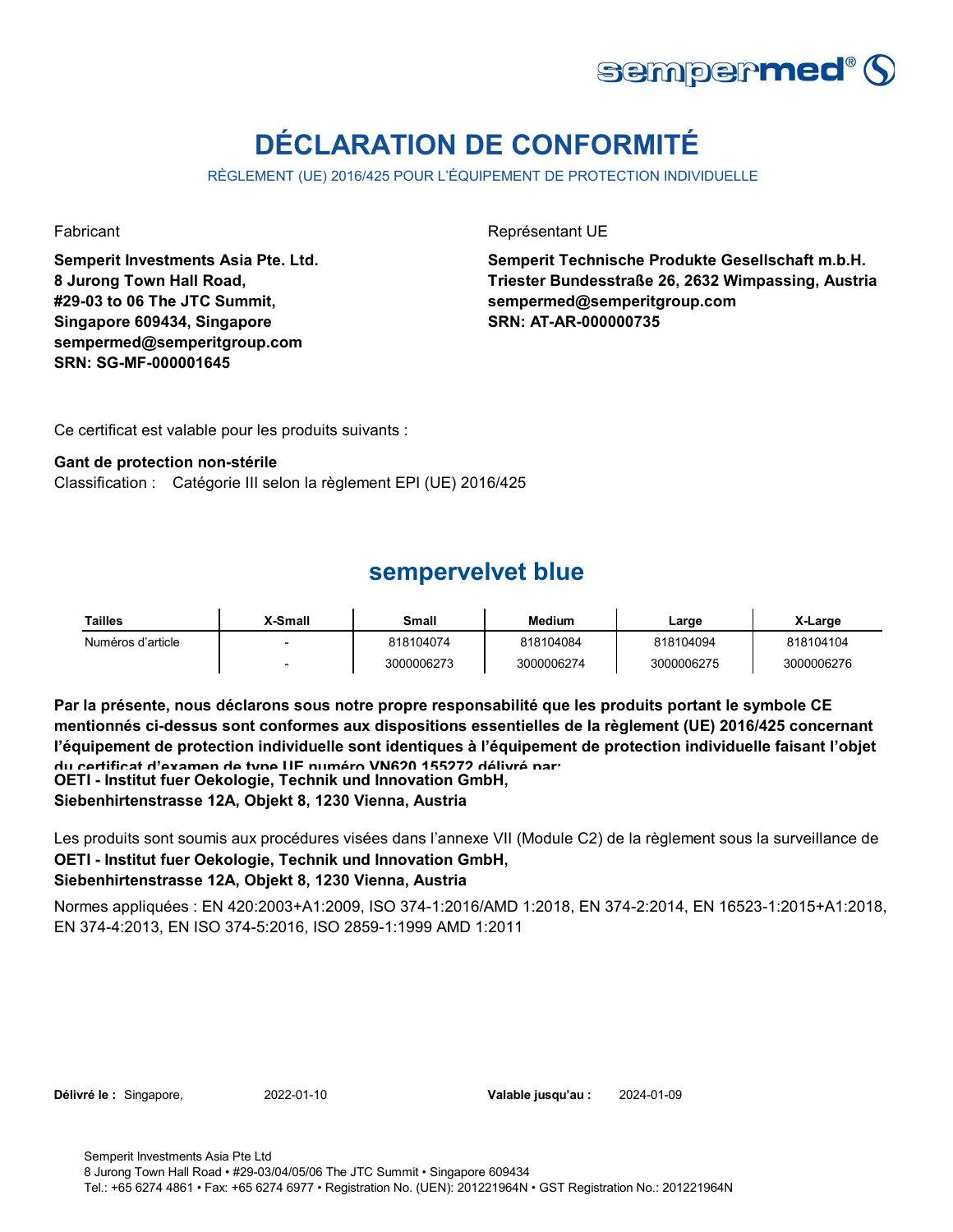

# **DÉCLARATION DE CONFORMITÉ**

RÈGLEMENT (UE) 2016/425 POUR L'ÉQUIPEMENT DE PROTECTION INDIVIDUELLE

**Semperit Investments Asia Pte. Ltd. 8 Jurong Town Hall Road, #29-03 to 06 The JTC Summit, Singapore 609434, Singapore sempermed@semperitgroup.com SRN: SG-MF-000001645**

Fabricant **Représentant UE** 

**Semperit Technische Produkte Gesellschaft m.b.H. Triester Bundesstraße 26, 2632 Wimpassing, Austria sempermed@semperitgroup.com SRN: AT-AR-000000735**

Ce certificat est valable pour les produits suivants :

### **Gant de protection non-stérile**

Classification : Catégorie III selon la règlement EPI (UE) 2016/425

### **sempervelvet blue**

| Tailles           | X-Small | Small      | <b>Medium</b> | Large      | X-Large    |
|-------------------|---------|------------|---------------|------------|------------|
| Numéros d'article |         | 818104074  | 818104084     | 818104094  | 818104104  |
|                   |         | 3000006273 | 3000006274    | 3000006275 | 3000006276 |

**Par la présente, nous déclarons sous notre propre responsabilité que les produits portant le symbole CE mentionnés ci-dessus sont conformes aux dispositions essentielles de la règlement (UE) 2016/425 concernant l'équipement de protection individuelle sont identiques à l'équipement de protection individuelle faisant l'objet du certificat d'examen de type UE numéro VN620 155272 délivré par:**

**OETI - Institut fuer Oekologie, Technik und Innovation GmbH,** 

**Siebenhirtenstrasse 12A, Objekt 8, 1230 Vienna, Austria**

**OETI - Institut fuer Oekologie, Technik und Innovation GmbH,**  Les produits sont soumis aux procédures visées dans l'annexe VII (Module C2) de la règlement sous la surveillance de

### **Siebenhirtenstrasse 12A, Objekt 8, 1230 Vienna, Austria**

Normes appliquées : EN 420:2003+A1:2009, ISO 374-1:2016/AMD 1:2018, EN 374-2:2014, EN 16523-1:2015+A1:2018, EN 374-4:2013, EN ISO 374-5:2016, ISO 2859-1:1999 AMD 1:2011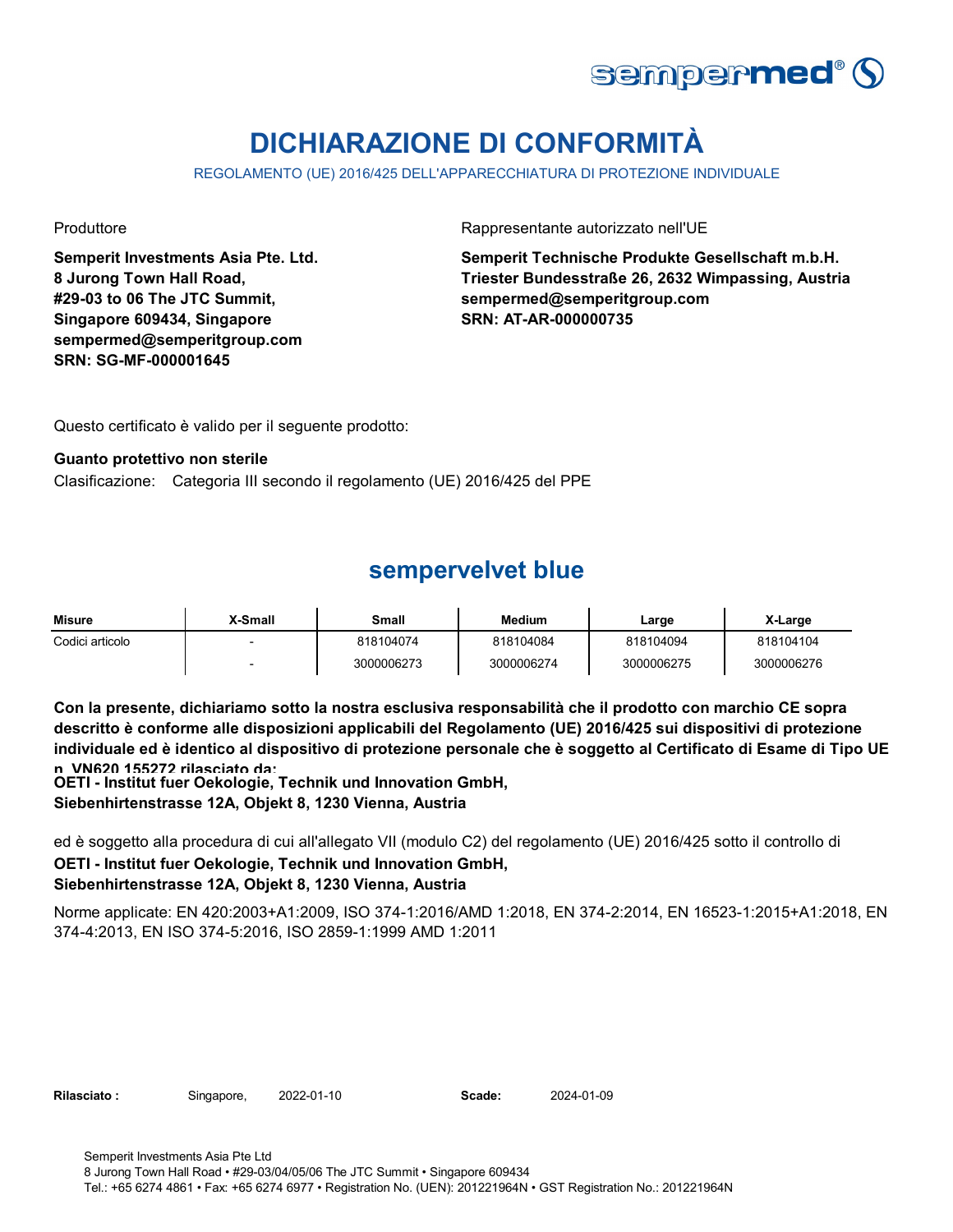

# **DICHIARAZIONE DI CONFORMITÀ**

REGOLAMENTO (UE) 2016/425 DELL'APPARECCHIATURA DI PROTEZIONE INDIVIDUALE

**Semperit Investments Asia Pte. Ltd. 8 Jurong Town Hall Road, #29-03 to 06 The JTC Summit, Singapore 609434, Singapore sempermed@semperitgroup.com SRN: SG-MF-000001645**

Produttore **Rappresentante autorizzato nell'UE** 

**Semperit Technische Produkte Gesellschaft m.b.H. Triester Bundesstraße 26, 2632 Wimpassing, Austria sempermed@semperitgroup.com SRN: AT-AR-000000735**

Questo certificato è valido per il seguente prodotto:

#### **Guanto protettivo non sterile**

Clasificazione: Categoria III secondo il regolamento (UE) 2016/425 del PPE

### **sempervelvet blue**

| <b>Misure</b>   | X-Small | Small      | Medium     | ∟arge      | X-Large    |
|-----------------|---------|------------|------------|------------|------------|
| Codici articolo |         | 818104074  | 818104084  | 818104094  | 818104104  |
|                 |         | 3000006273 | 3000006274 | 3000006275 | 3000006276 |

**Con la presente, dichiariamo sotto la nostra esclusiva responsabilità che il prodotto con marchio CE sopra descritto è conforme alle disposizioni applicabili del Regolamento (UE) 2016/425 sui dispositivi di protezione individuale ed è identico al dispositivo di protezione personale che è soggetto al Certificato di Esame di Tipo UE n VN620 155272 rilasciato da:**

**OETI - Institut fuer Oekologie, Technik und Innovation GmbH,** 

**Siebenhirtenstrasse 12A, Objekt 8, 1230 Vienna, Austria**

**OETI - Institut fuer Oekologie, Technik und Innovation GmbH, Siebenhirtenstrasse 12A, Objekt 8, 1230 Vienna, Austria** ed è soggetto alla procedura di cui all'allegato VII (modulo C2) del regolamento (UE) 2016/425 sotto il controllo di

Norme applicate: EN 420:2003+A1:2009, ISO 374-1:2016/AMD 1:2018, EN 374-2:2014, EN 16523-1:2015+A1:2018, EN 374-4:2013, EN ISO 374-5:2016, ISO 2859-1:1999 AMD 1:2011

**Rilasciato :** Singapore, 2022-01-10 **Scade:** 2024-01-09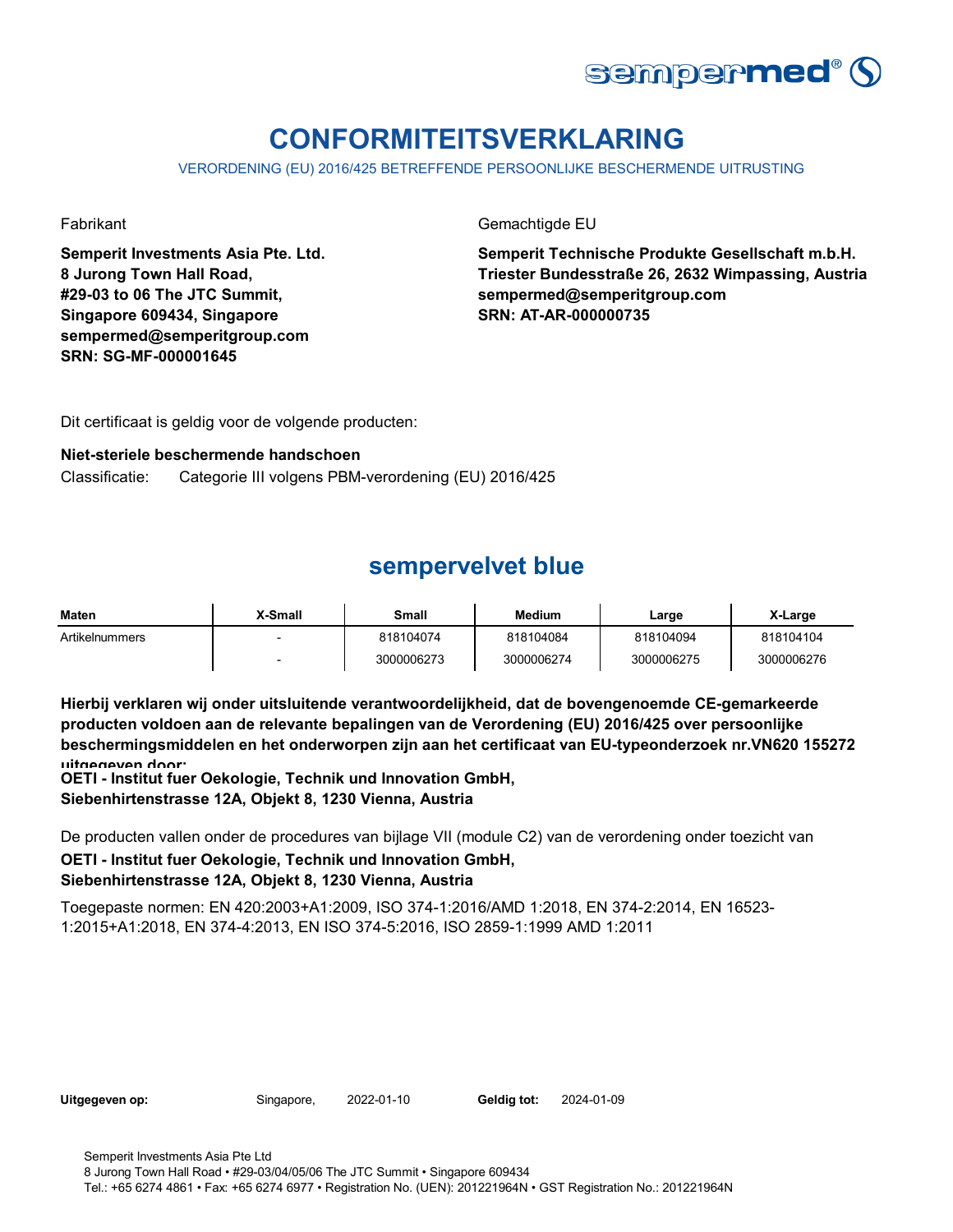

# **CONFORMITEITSVERKLARING**

VERORDENING (EU) 2016/425 BETREFFENDE PERSOONLIJKE BESCHERMENDE UITRUSTING

**Semperit Investments Asia Pte. Ltd. 8 Jurong Town Hall Road, #29-03 to 06 The JTC Summit, Singapore 609434, Singapore sempermed@semperitgroup.com SRN: SG-MF-000001645**

Fabrikant Gemachtigde EU

**Semperit Technische Produkte Gesellschaft m.b.H. Triester Bundesstraße 26, 2632 Wimpassing, Austria sempermed@semperitgroup.com SRN: AT-AR-000000735**

Dit certificaat is geldig voor de volgende producten:

### **Niet-steriele beschermende handschoen**

Classificatie: Categorie III volgens PBM-verordening (EU) 2016/425

# **sempervelvet blue**

| <b>Maten</b>   | X-Small                  | Small      | <b>Medium</b> | Large      | X-Large    |
|----------------|--------------------------|------------|---------------|------------|------------|
| Artikelnummers | $\overline{\phantom{0}}$ | 818104074  | 818104084     | 818104094  | 818104104  |
|                |                          | 3000006273 | 3000006274    | 3000006275 | 3000006276 |

**Hierbij verklaren wij onder uitsluitende verantwoordelijkheid, dat de bovengenoemde CE-gemarkeerde producten voldoen aan de relevante bepalingen van de Verordening (EU) 2016/425 over persoonlijke beschermingsmiddelen en het onderworpen zijn aan het certificaat van EU-typeonderzoek nr.VN620 155272 uitgegeven door:**

**OETI - Institut fuer Oekologie, Technik und Innovation GmbH, Siebenhirtenstrasse 12A, Objekt 8, 1230 Vienna, Austria**

**OETI - Institut fuer Oekologie, Technik und Innovation GmbH, Siebenhirtenstrasse 12A, Objekt 8, 1230 Vienna, Austria** De producten vallen onder de procedures van bijlage VII (module C2) van de verordening onder toezicht van

Toegepaste normen: EN 420:2003+A1:2009, ISO 374-1:2016/AMD 1:2018, EN 374-2:2014, EN 16523- 1:2015+A1:2018, EN 374-4:2013, EN ISO 374-5:2016, ISO 2859-1:1999 AMD 1:2011

| Uitgegeven op: |  |
|----------------|--|
|----------------|--|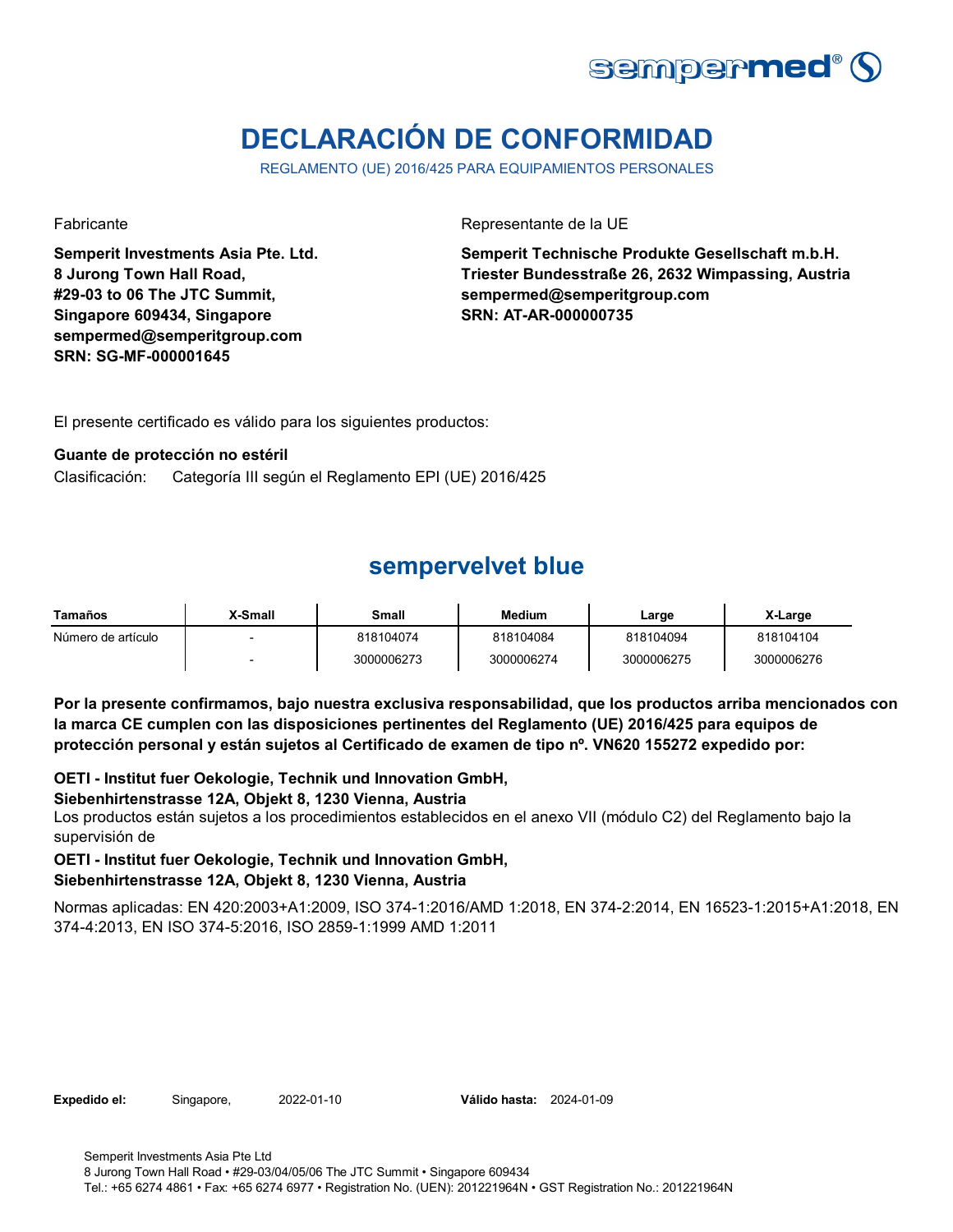

# **DECLARACIÓN DE CONFORMIDAD**

REGLAMENTO (UE) 2016/425 PARA EQUIPAMIENTOS PERSONALES

**Semperit Investments Asia Pte. Ltd. 8 Jurong Town Hall Road, #29-03 to 06 The JTC Summit, Singapore 609434, Singapore sempermed@semperitgroup.com SRN: SG-MF-000001645**

Fabricante de la UE

**Semperit Technische Produkte Gesellschaft m.b.H. Triester Bundesstraße 26, 2632 Wimpassing, Austria sempermed@semperitgroup.com SRN: AT-AR-000000735**

El presente certificado es válido para los siguientes productos:

### **Guante de protección no estéril**

Clasificación: Categoría III según el Reglamento EPI (UE) 2016/425

### **sempervelvet blue**

| Tamaños            | X-Small | Small      | Medium     | Large      | X-Large    |
|--------------------|---------|------------|------------|------------|------------|
| Número de artículo |         | 818104074  | 818104084  | 818104094  | 818104104  |
|                    |         | 3000006273 | 3000006274 | 3000006275 | 3000006276 |

**Por la presente confirmamos, bajo nuestra exclusiva responsabilidad, que los productos arriba mencionados con la marca CE cumplen con las disposiciones pertinentes del Reglamento (UE) 2016/425 para equipos de protección personal y están sujetos al Certificado de examen de tipo nº. VN620 155272 expedido por:**

**OETI - Institut fuer Oekologie, Technik und Innovation GmbH,** 

### **Siebenhirtenstrasse 12A, Objekt 8, 1230 Vienna, Austria**

Los productos están sujetos a los procedimientos establecidos en el anexo VII (módulo C2) del Reglamento bajo la supervisión de

### **OETI - Institut fuer Oekologie, Technik und Innovation GmbH,**

### **Siebenhirtenstrasse 12A, Objekt 8, 1230 Vienna, Austria**

Normas aplicadas: EN 420:2003+A1:2009, ISO 374-1:2016/AMD 1:2018, EN 374-2:2014, EN 16523-1:2015+A1:2018, EN 374-4:2013, EN ISO 374-5:2016, ISO 2859-1:1999 AMD 1:2011

**Expedido el:** Singapore, 2022-01-10 **Válido hasta:** 2024-01-09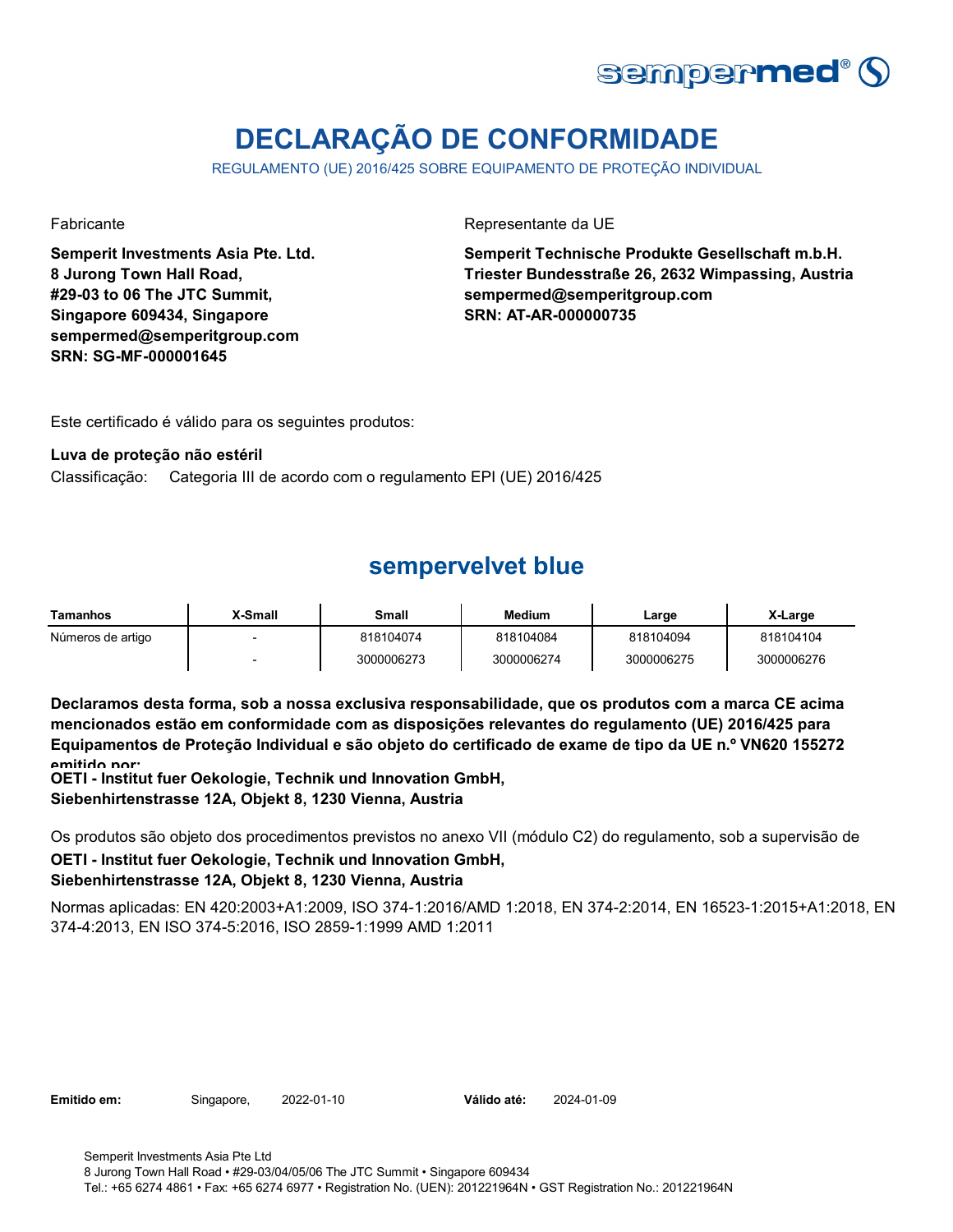

# **DECLARAÇÃO DE CONFORMIDADE**

REGULAMENTO (UE) 2016/425 SOBRE EQUIPAMENTO DE PROTEÇÃO INDIVIDUAL

**Semperit Investments Asia Pte. Ltd. 8 Jurong Town Hall Road, #29-03 to 06 The JTC Summit, Singapore 609434, Singapore sempermed@semperitgroup.com SRN: SG-MF-000001645**

Fabricante da UE

**Semperit Technische Produkte Gesellschaft m.b.H. Triester Bundesstraße 26, 2632 Wimpassing, Austria sempermed@semperitgroup.com SRN: AT-AR-000000735**

Este certificado é válido para os seguintes produtos:

### **Luva de proteção não estéril**

Classificação: Categoria III de acordo com o regulamento EPI (UE) 2016/425

# **sempervelvet blue**

| Tamanhos          | X-Small | Small      | <b>Medium</b> | ∟arge      | X-Large    |
|-------------------|---------|------------|---------------|------------|------------|
| Números de artigo |         | 818104074  | 818104084     | 818104094  | 818104104  |
|                   |         | 3000006273 | 3000006274    | 3000006275 | 3000006276 |

**Declaramos desta forma, sob a nossa exclusiva responsabilidade, que os produtos com a marca CE acima mencionados estão em conformidade com as disposições relevantes do regulamento (UE) 2016/425 para Equipamentos de Proteção Individual e são objeto do certificado de exame de tipo da UE n.º VN620 155272 emitido por:**

**OETI - Institut fuer Oekologie, Technik und Innovation GmbH, Siebenhirtenstrasse 12A, Objekt 8, 1230 Vienna, Austria**

**OETI - Institut fuer Oekologie, Technik und Innovation GmbH, Siebenhirtenstrasse 12A, Objekt 8, 1230 Vienna, Austria** Os produtos são objeto dos procedimentos previstos no anexo VII (módulo C2) do regulamento, sob a supervisão de

Normas aplicadas: EN 420:2003+A1:2009, ISO 374-1:2016/AMD 1:2018, EN 374-2:2014, EN 16523-1:2015+A1:2018, EN 374-4:2013, EN ISO 374-5:2016, ISO 2859-1:1999 AMD 1:2011

**Emitido em:** Singapore, 2022-01-10 **Válido até:** 2024-01-09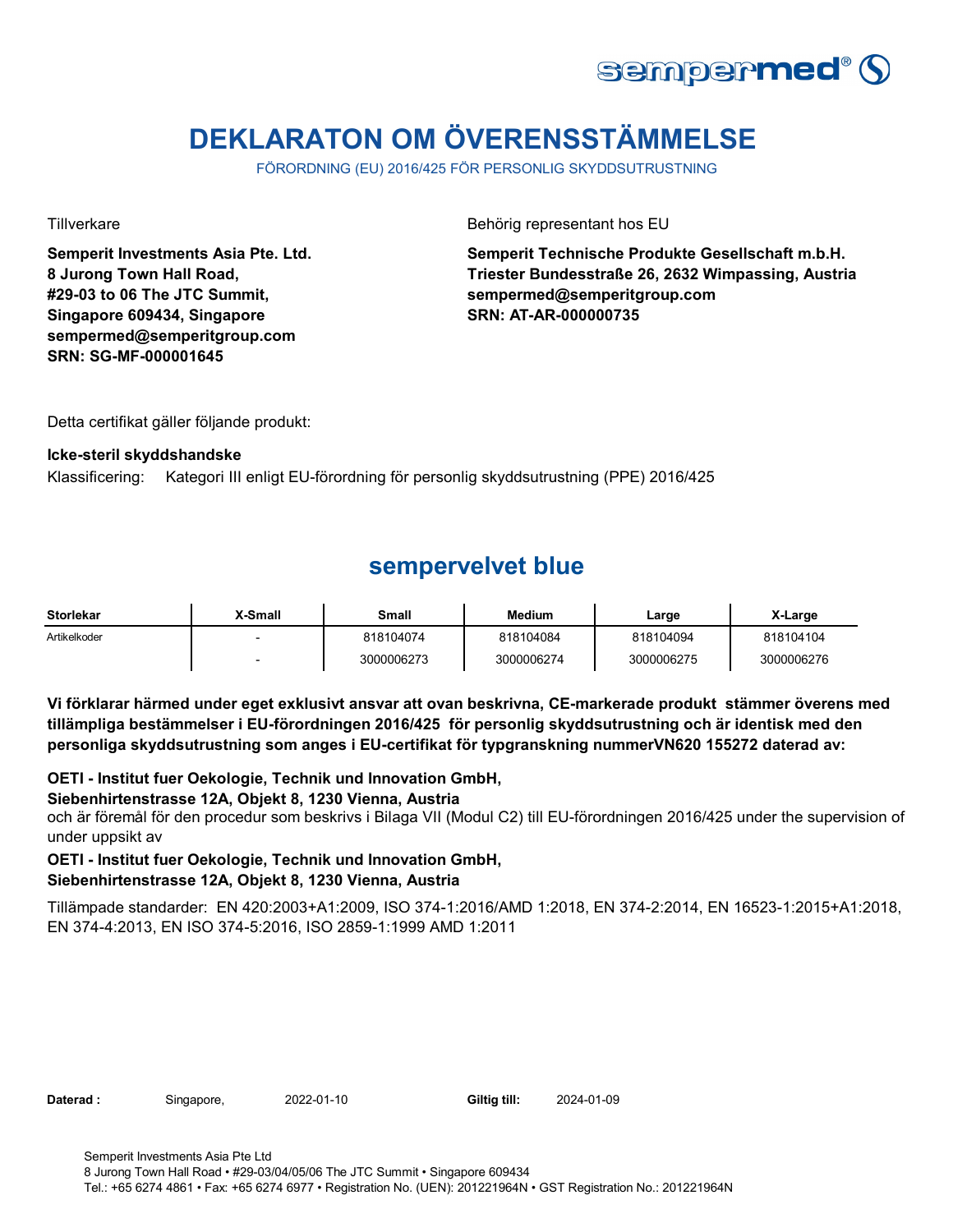

# **DEKLARATON OM ÖVERENSSTÄMMELSE**

FÖRORDNING (EU) 2016/425 FÖR PERSONLIG SKYDDSUTRUSTNING

**Semperit Investments Asia Pte. Ltd. 8 Jurong Town Hall Road, #29-03 to 06 The JTC Summit, Singapore 609434, Singapore sempermed@semperitgroup.com SRN: SG-MF-000001645**

Tillverkare **Behörig representant hos EU** 

**Semperit Technische Produkte Gesellschaft m.b.H. Triester Bundesstraße 26, 2632 Wimpassing, Austria sempermed@semperitgroup.com SRN: AT-AR-000000735**

Detta certifikat gäller följande produkt:

### **Icke-steril skyddshandske**

Klassificering: Kategori III enligt EU-förordning för personlig skyddsutrustning (PPE) 2016/425

# **sempervelvet blue**

| <b>Storlekar</b> | <b>X-Small</b> | <b>Small</b> | <b>Medium</b> | Large      | X-Large    |
|------------------|----------------|--------------|---------------|------------|------------|
| Artikelkoder     |                | 818104074    | 818104084     | 818104094  | 818104104  |
|                  |                | 3000006273   | 3000006274    | 3000006275 | 3000006276 |

**Vi förklarar härmed under eget exklusivt ansvar att ovan beskrivna, CE-markerade produkt stämmer överens med tillämpliga bestämmelser i EU-förordningen 2016/425 för personlig skyddsutrustning och är identisk med den personliga skyddsutrustning som anges i EU-certifikat för typgranskning nummerVN620 155272 daterad av:**

**OETI - Institut fuer Oekologie, Technik und Innovation GmbH,** 

### **Siebenhirtenstrasse 12A, Objekt 8, 1230 Vienna, Austria**

och är föremål för den procedur som beskrivs i Bilaga VII (Modul C2) till EU-förordningen 2016/425 under the supervision of under uppsikt av

### **OETI - Institut fuer Oekologie, Technik und Innovation GmbH,**

### **Siebenhirtenstrasse 12A, Objekt 8, 1230 Vienna, Austria**

Tillämpade standarder: EN 420:2003+A1:2009, ISO 374-1:2016/AMD 1:2018, EN 374-2:2014, EN 16523-1:2015+A1:2018, EN 374-4:2013, EN ISO 374-5:2016, ISO 2859-1:1999 AMD 1:2011

| Daterad : |  |
|-----------|--|
|-----------|--|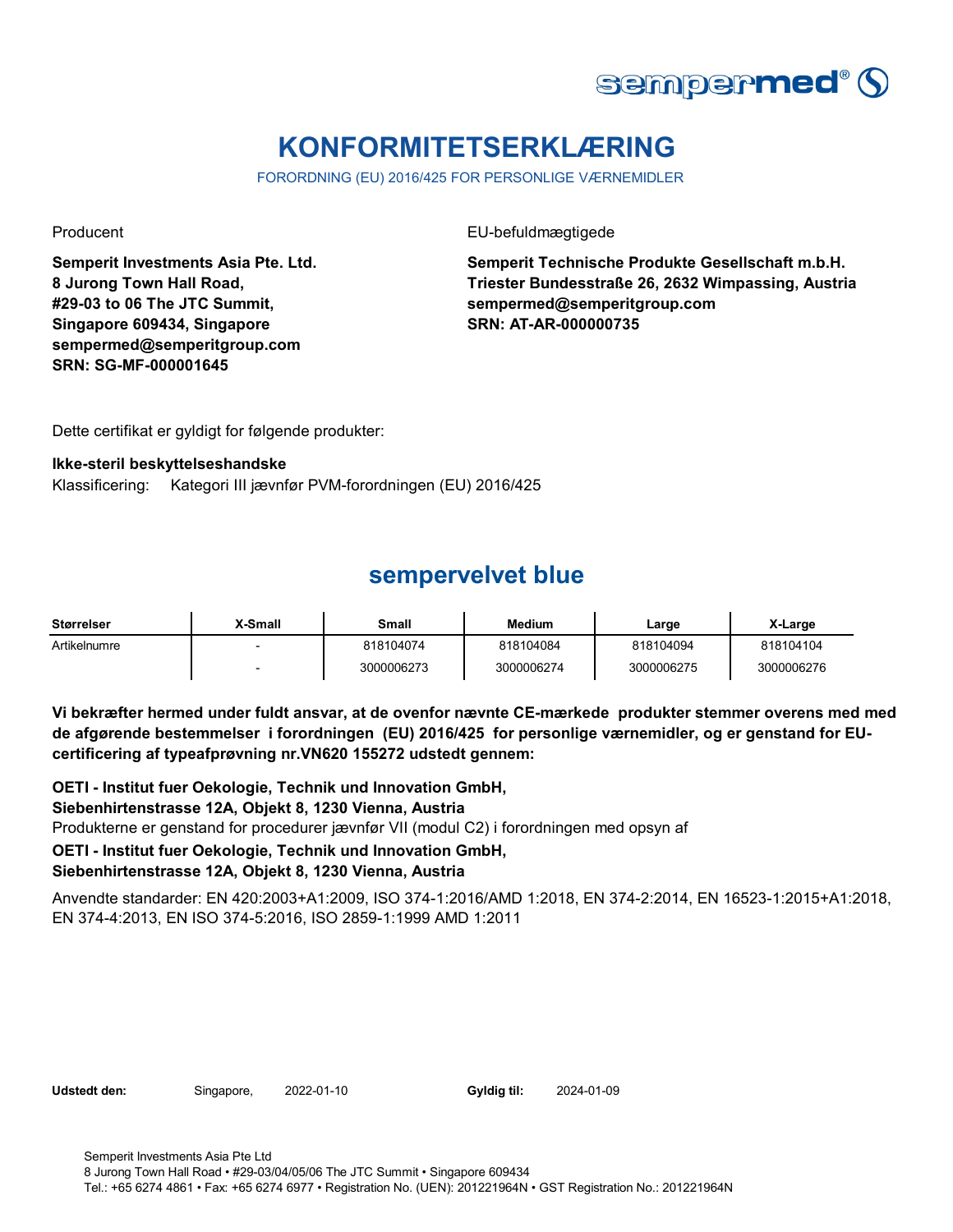

# **KONFORMITETSERKLÆRING**

FORORDNING (EU) 2016/425 FOR PERSONLIGE VÆRNEMIDLER

**Semperit Investments Asia Pte. Ltd. 8 Jurong Town Hall Road, #29-03 to 06 The JTC Summit, Singapore 609434, Singapore sempermed@semperitgroup.com SRN: SG-MF-000001645**

Producent **EU-befuldmægtigede** 

**Semperit Technische Produkte Gesellschaft m.b.H. Triester Bundesstraße 26, 2632 Wimpassing, Austria sempermed@semperitgroup.com SRN: AT-AR-000000735**

Dette certifikat er gyldigt for følgende produkter:

#### **Ikke-steril beskyttelseshandske**

Klassificering: Kategori III jævnfør PVM-forordningen (EU) 2016/425

### **sempervelvet blue**

| Størrelser   | X-Small | Small      | Medium     | Large      | X-Large    |
|--------------|---------|------------|------------|------------|------------|
| Artikelnumre |         | 818104074  | 818104084  | 818104094  | 818104104  |
|              |         | 3000006273 | 3000006274 | 3000006275 | 3000006276 |

**Vi bekræfter hermed under fuldt ansvar, at de ovenfor nævnte CE-mærkede produkter stemmer overens med med de afgørende bestemmelser i forordningen (EU) 2016/425 for personlige værnemidler, og er genstand for EUcertificering af typeafprøvning nr.VN620 155272 udstedt gennem:**

**OETI - Institut fuer Oekologie, Technik und Innovation GmbH, Siebenhirtenstrasse 12A, Objekt 8, 1230 Vienna, Austria** Produkterne er genstand for procedurer jævnfør VII (modul C2) i forordningen med opsyn af **OETI - Institut fuer Oekologie, Technik und Innovation GmbH, Siebenhirtenstrasse 12A, Objekt 8, 1230 Vienna, Austria**

Anvendte standarder: EN 420:2003+A1:2009, ISO 374-1:2016/AMD 1:2018, EN 374-2:2014, EN 16523-1:2015+A1:2018, EN 374-4:2013, EN ISO 374-5:2016, ISO 2859-1:1999 AMD 1:2011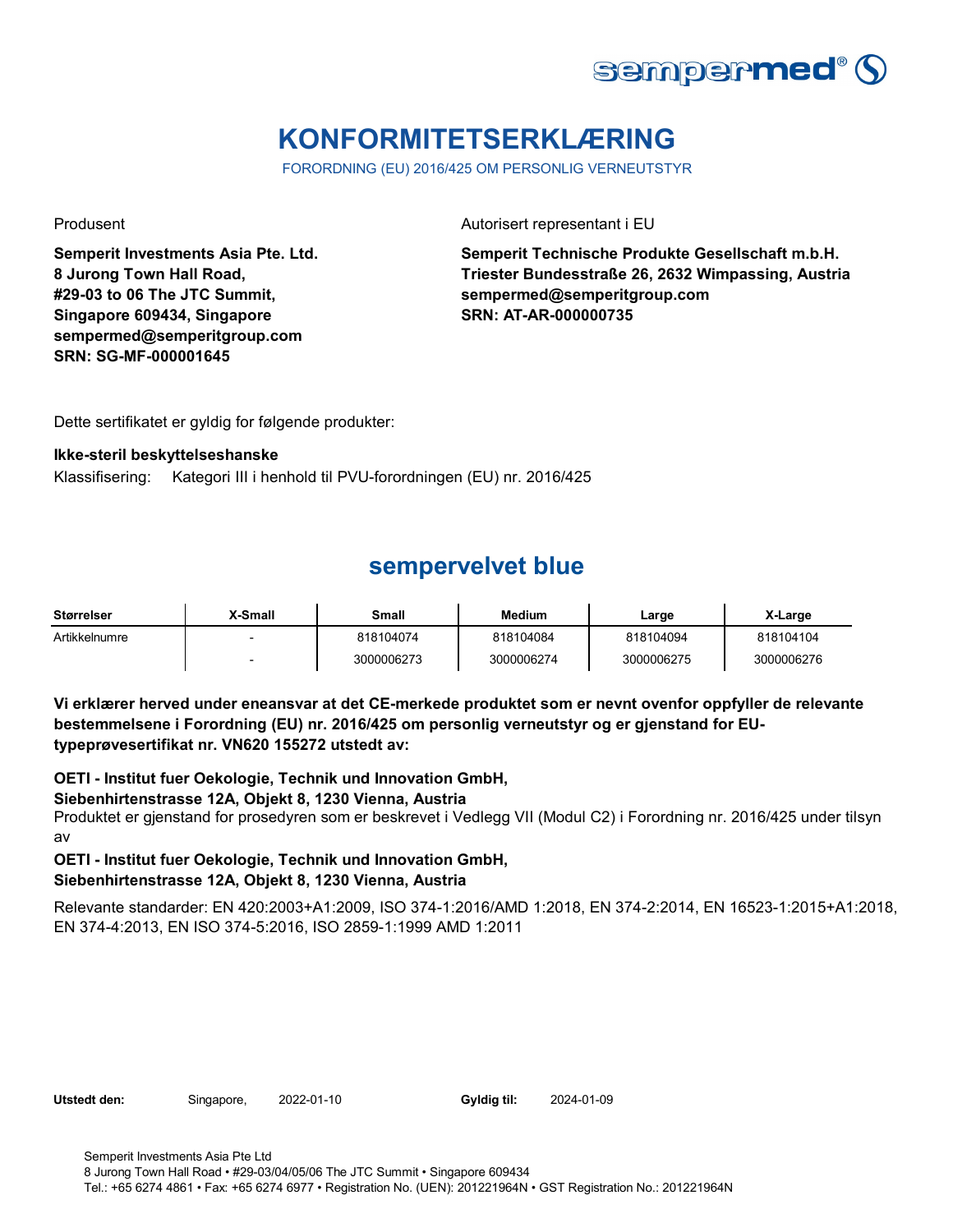

# **KONFORMITETSERKLÆRING**

FORORDNING (EU) 2016/425 OM PERSONLIG VERNEUTSTYR

**Semperit Investments Asia Pte. Ltd. 8 Jurong Town Hall Road, #29-03 to 06 The JTC Summit, Singapore 609434, Singapore sempermed@semperitgroup.com SRN: SG-MF-000001645**

Produsent **Autorisert representant i EU** 

**Semperit Technische Produkte Gesellschaft m.b.H. Triester Bundesstraße 26, 2632 Wimpassing, Austria sempermed@semperitgroup.com SRN: AT-AR-000000735**

Dette sertifikatet er gyldig for følgende produkter:

### **Ikke-steril beskyttelseshanske**

Klassifisering: Kategori III i henhold til PVU-forordningen (EU) nr. 2016/425

# **sempervelvet blue**

| <b>Størrelser</b> | X-Small                  | Small      | <b>Medium</b> | Large      | X-Large    |
|-------------------|--------------------------|------------|---------------|------------|------------|
| Artikkelnumre     | $\overline{\phantom{a}}$ | 818104074  | 818104084     | 818104094  | 818104104  |
|                   | $\overline{\phantom{a}}$ | 3000006273 | 3000006274    | 3000006275 | 3000006276 |

**Vi erklærer herved under eneansvar at det CE-merkede produktet som er nevnt ovenfor oppfyller de relevante bestemmelsene i Forordning (EU) nr. 2016/425 om personlig verneutstyr og er gjenstand for EUtypeprøvesertifikat nr. VN620 155272 utstedt av:**

**OETI - Institut fuer Oekologie, Technik und Innovation GmbH,** 

### **Siebenhirtenstrasse 12A, Objekt 8, 1230 Vienna, Austria**

Produktet er gjenstand for prosedyren som er beskrevet i Vedlegg VII (Modul C2) i Forordning nr. 2016/425 under tilsyn av

### **OETI - Institut fuer Oekologie, Technik und Innovation GmbH, Siebenhirtenstrasse 12A, Objekt 8, 1230 Vienna, Austria**

Relevante standarder: EN 420:2003+A1:2009, ISO 374-1:2016/AMD 1:2018, EN 374-2:2014, EN 16523-1:2015+A1:2018, EN 374-4:2013, EN ISO 374-5:2016, ISO 2859-1:1999 AMD 1:2011

**Utstedt den:** Singapore, 2022-01-10 **Gyldig til:** 2024-01-09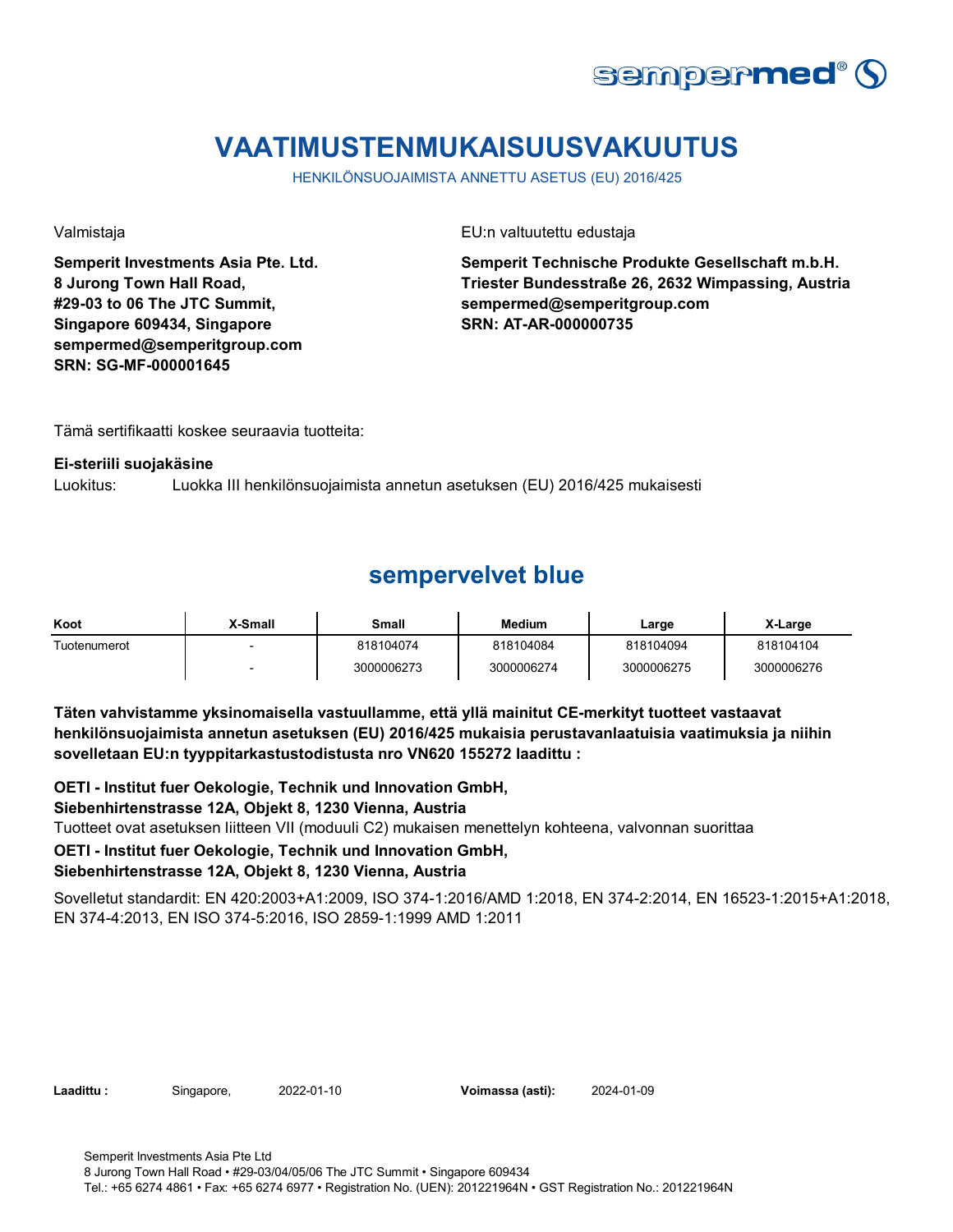

# **VAATIMUSTENMUKAISUUSVAKUUTUS**

HENKILÖNSUOJAIMISTA ANNETTU ASETUS (EU) 2016/425

**Semperit Investments Asia Pte. Ltd. 8 Jurong Town Hall Road, #29-03 to 06 The JTC Summit, Singapore 609434, Singapore sempermed@semperitgroup.com SRN: SG-MF-000001645**

Valmistaja EU:n valtuutettu edustaja

**Semperit Technische Produkte Gesellschaft m.b.H. Triester Bundesstraße 26, 2632 Wimpassing, Austria sempermed@semperitgroup.com SRN: AT-AR-000000735**

Tämä sertifikaatti koskee seuraavia tuotteita:

#### **Ei-steriili suojakäsine**

Luokitus: Luokka III henkilönsuojaimista annetun asetuksen (EU) 2016/425 mukaisesti

### **sempervelvet blue**

| Koot         | X-Small | Small      | Medium     | Large      | X-Large    |
|--------------|---------|------------|------------|------------|------------|
| Tuotenumerot |         | 818104074  | 818104084  | 818104094  | 818104104  |
|              |         | 3000006273 | 3000006274 | 3000006275 | 3000006276 |

**Täten vahvistamme yksinomaisella vastuullamme, että yllä mainitut CE-merkityt tuotteet vastaavat henkilönsuojaimista annetun asetuksen (EU) 2016/425 mukaisia perustavanlaatuisia vaatimuksia ja niihin sovelletaan EU:n tyyppitarkastustodistusta nro VN620 155272 laadittu :**

**OETI - Institut fuer Oekologie, Technik und Innovation GmbH,** 

### **Siebenhirtenstrasse 12A, Objekt 8, 1230 Vienna, Austria**

Tuotteet ovat asetuksen liitteen VII (moduuli C2) mukaisen menettelyn kohteena, valvonnan suorittaa

### **OETI - Institut fuer Oekologie, Technik und Innovation GmbH,**

### **Siebenhirtenstrasse 12A, Objekt 8, 1230 Vienna, Austria**

Sovelletut standardit: EN 420:2003+A1:2009, ISO 374-1:2016/AMD 1:2018, EN 374-2:2014, EN 16523-1:2015+A1:2018, EN 374-4:2013, EN ISO 374-5:2016, ISO 2859-1:1999 AMD 1:2011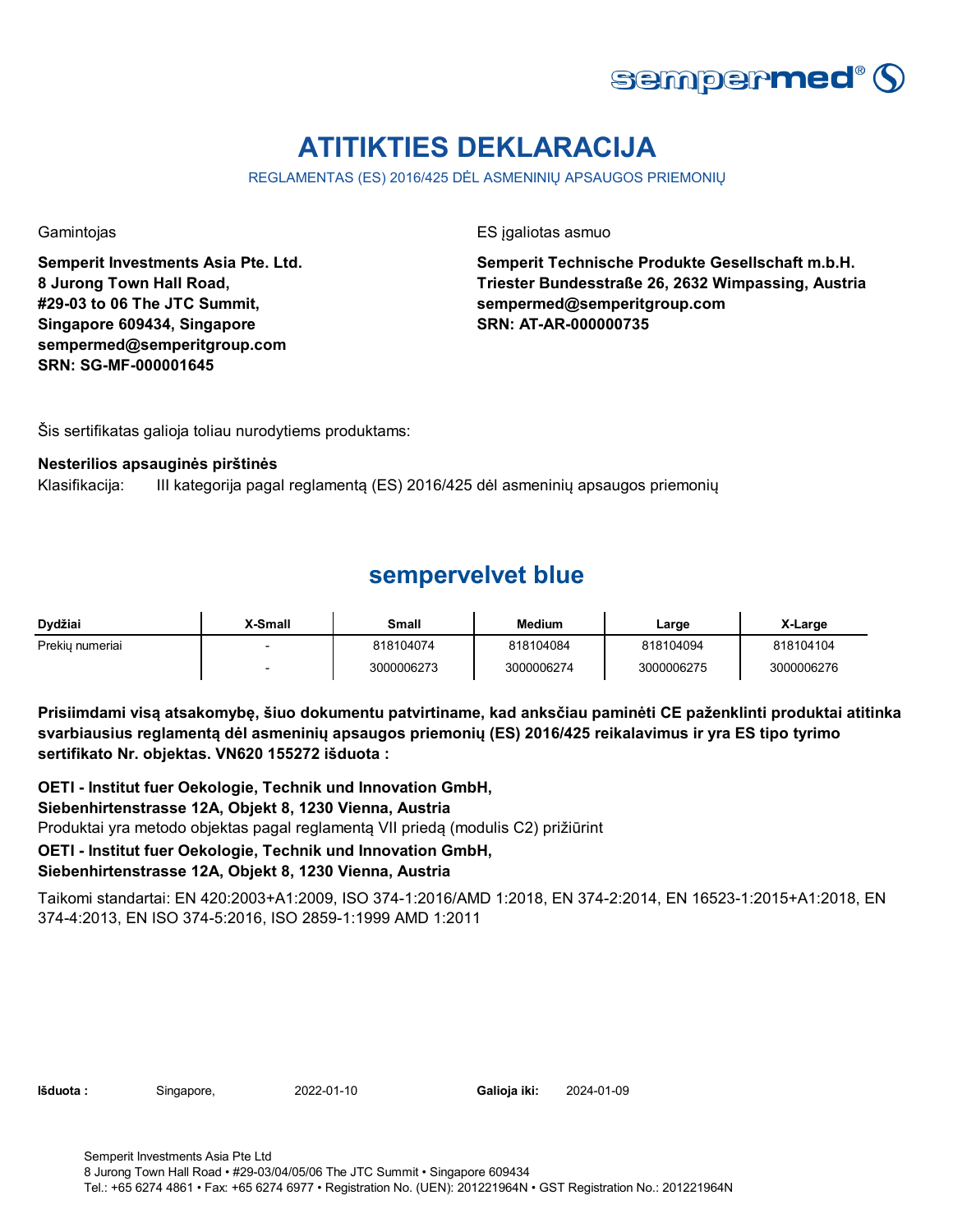

# **ATITIKTIES DEKLARACIJA**

REGLAMENTAS (ES) 2016/425 DĖL ASMENINIŲ APSAUGOS PRIEMONIŲ

**Semperit Investments Asia Pte. Ltd. 8 Jurong Town Hall Road, #29-03 to 06 The JTC Summit, Singapore 609434, Singapore sempermed@semperitgroup.com SRN: SG-MF-000001645**

Gamintojas ES įgaliotas asmuo

**Semperit Technische Produkte Gesellschaft m.b.H. Triester Bundesstraße 26, 2632 Wimpassing, Austria sempermed@semperitgroup.com SRN: AT-AR-000000735**

Šis sertifikatas galioja toliau nurodytiems produktams:

#### **Nesterilios apsauginės pirštinės**

Klasifikacija: III kategorija pagal reglamentą (ES) 2016/425 dėl asmeninių apsaugos priemonių

### **sempervelvet blue**

| Dvdžiai         | X-Small | Small      | <b>Medium</b> | Large      | X-Large    |
|-----------------|---------|------------|---------------|------------|------------|
| Prekiu numeriai |         | 818104074  | 818104084     | 818104094  | 818104104  |
|                 |         | 3000006273 | 3000006274    | 3000006275 | 3000006276 |

**Prisiimdami visą atsakomybę, šiuo dokumentu patvirtiname, kad anksčiau paminėti CE paženklinti produktai atitinka svarbiausius reglamentą dėl asmeninių apsaugos priemonių (ES) 2016/425 reikalavimus ir yra ES tipo tyrimo sertifikato Nr. objektas. VN620 155272 išduota :**

Produktai yra metodo objektas pagal reglamentą VII priedą (modulis C2) prižiūrint **OETI - Institut fuer Oekologie, Technik und Innovation GmbH, Siebenhirtenstrasse 12A, Objekt 8, 1230 Vienna, Austria**

### **OETI - Institut fuer Oekologie, Technik und Innovation GmbH,**

### **Siebenhirtenstrasse 12A, Objekt 8, 1230 Vienna, Austria**

Taikomi standartai: EN 420:2003+A1:2009, ISO 374-1:2016/AMD 1:2018, EN 374-2:2014, EN 16523-1:2015+A1:2018, EN 374-4:2013, EN ISO 374-5:2016, ISO 2859-1:1999 AMD 1:2011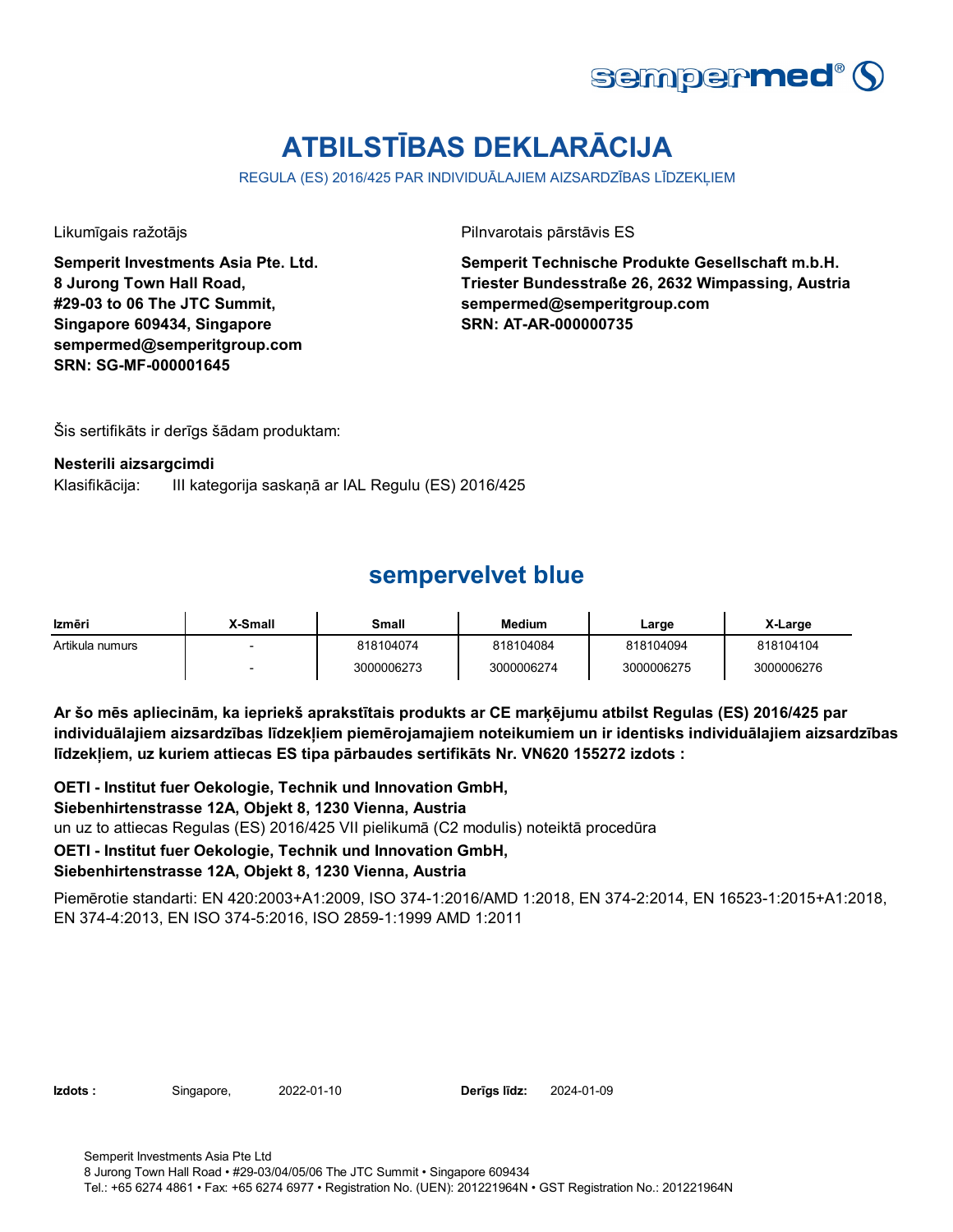

# **ATBILSTĪBAS DEKLARĀCIJA**

REGULA (ES) 2016/425 PAR INDIVIDUĀLAJIEM AIZSARDZĪBAS LĪDZEKĻIEM

**Semperit Investments Asia Pte. Ltd. 8 Jurong Town Hall Road, #29-03 to 06 The JTC Summit, Singapore 609434, Singapore sempermed@semperitgroup.com SRN: SG-MF-000001645**

Likumīgais ražotājs Pilnvarotais pārstāvis ES

**Semperit Technische Produkte Gesellschaft m.b.H. Triester Bundesstraße 26, 2632 Wimpassing, Austria sempermed@semperitgroup.com SRN: AT-AR-000000735**

Šis sertifikāts ir derīgs šādam produktam:

#### **Nesterili aizsargcimdi**

Klasifikācija: III kategorija saskaņā ar IAL Regulu (ES) 2016/425

### **sempervelvet blue**

| Izmēri          | X-Small | Small      | <b>Medium</b> | Large      | X-Large    |
|-----------------|---------|------------|---------------|------------|------------|
| Artikula numurs |         | 818104074  | 818104084     | 818104094  | 818104104  |
|                 |         | 3000006273 | 3000006274    | 3000006275 | 3000006276 |

**Ar šo mēs apliecinām, ka iepriekš aprakstītais produkts ar CE marķējumu atbilst Regulas (ES) 2016/425 par individuālajiem aizsardzības līdzekļiem piemērojamajiem noteikumiem un ir identisks individuālajiem aizsardzības līdzekļiem, uz kuriem attiecas ES tipa pārbaudes sertifikāts Nr. VN620 155272 izdots :**

**OETI - Institut fuer Oekologie, Technik und Innovation GmbH,**  un uz to attiecas Regulas (ES) 2016/425 VII pielikumā (C2 modulis) noteiktā procedūra **OETI - Institut fuer Oekologie, Technik und Innovation GmbH, Siebenhirtenstrasse 12A, Objekt 8, 1230 Vienna, Austria**

### **Siebenhirtenstrasse 12A, Objekt 8, 1230 Vienna, Austria**

Piemērotie standarti: EN 420:2003+A1:2009, ISO 374-1:2016/AMD 1:2018, EN 374-2:2014, EN 16523-1:2015+A1:2018, EN 374-4:2013, EN ISO 374-5:2016, ISO 2859-1:1999 AMD 1:2011

**Izdots :** Singapore, 2022-01-10 **Derīgs līdz:** 2024-01-09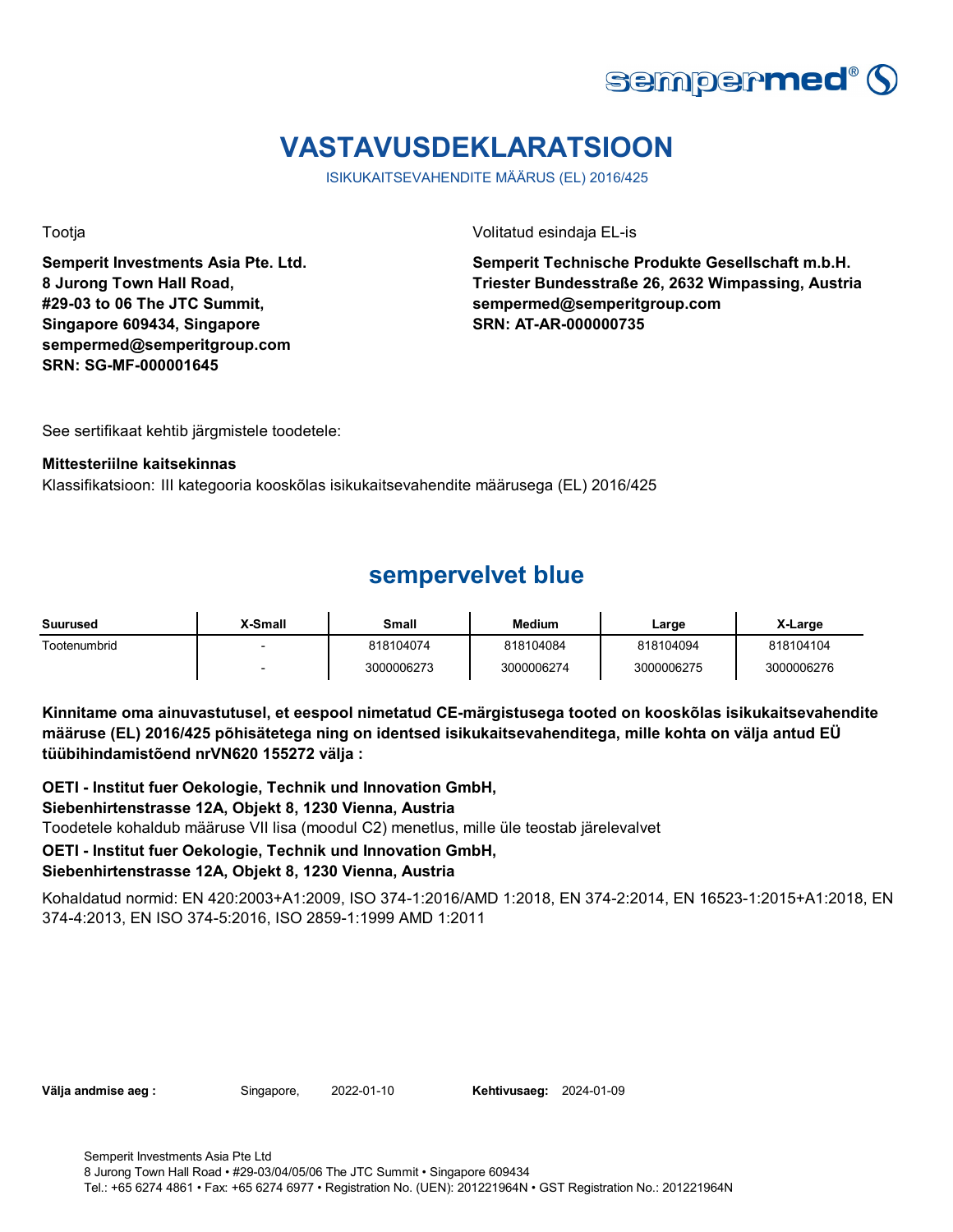

# **VASTAVUSDEKLARATSIOON**

ISIKUKAITSEVAHENDITE MÄÄRUS (EL) 2016/425

**Semperit Investments Asia Pte. Ltd. 8 Jurong Town Hall Road, #29-03 to 06 The JTC Summit, Singapore 609434, Singapore sempermed@semperitgroup.com SRN: SG-MF-000001645**

Tootja Volitatud esindaja EL-is

**Semperit Technische Produkte Gesellschaft m.b.H. Triester Bundesstraße 26, 2632 Wimpassing, Austria sempermed@semperitgroup.com SRN: AT-AR-000000735**

See sertifikaat kehtib järgmistele toodetele:

#### **Mittesteriilne kaitsekinnas**

Klassifikatsioon: III kategooria kooskõlas isikukaitsevahendite määrusega (EL) 2016/425

### **sempervelvet blue**

| Suurused     | X-Small | Small      | Medium     | Large      | X-Large    |
|--------------|---------|------------|------------|------------|------------|
| Tootenumbrid | $\sim$  | 818104074  | 818104084  | 818104094  | 818104104  |
|              | $\sim$  | 3000006273 | 3000006274 | 3000006275 | 3000006276 |

**Kinnitame oma ainuvastutusel, et eespool nimetatud CE-märgistusega tooted on kooskõlas isikukaitsevahendite määruse (EL) 2016/425 põhisätetega ning on identsed isikukaitsevahenditega, mille kohta on välja antud EÜ tüübihindamistõend nrVN620 155272 välja :**

**OETI - Institut fuer Oekologie, Technik und Innovation GmbH,**  Toodetele kohaldub määruse VII lisa (moodul C2) menetlus, mille üle teostab järelevalvet **OETI - Institut fuer Oekologie, Technik und Innovation GmbH, Siebenhirtenstrasse 12A, Objekt 8, 1230 Vienna, Austria**

### **Siebenhirtenstrasse 12A, Objekt 8, 1230 Vienna, Austria**

Kohaldatud normid: EN 420:2003+A1:2009, ISO 374-1:2016/AMD 1:2018, EN 374-2:2014, EN 16523-1:2015+A1:2018, EN 374-4:2013, EN ISO 374-5:2016, ISO 2859-1:1999 AMD 1:2011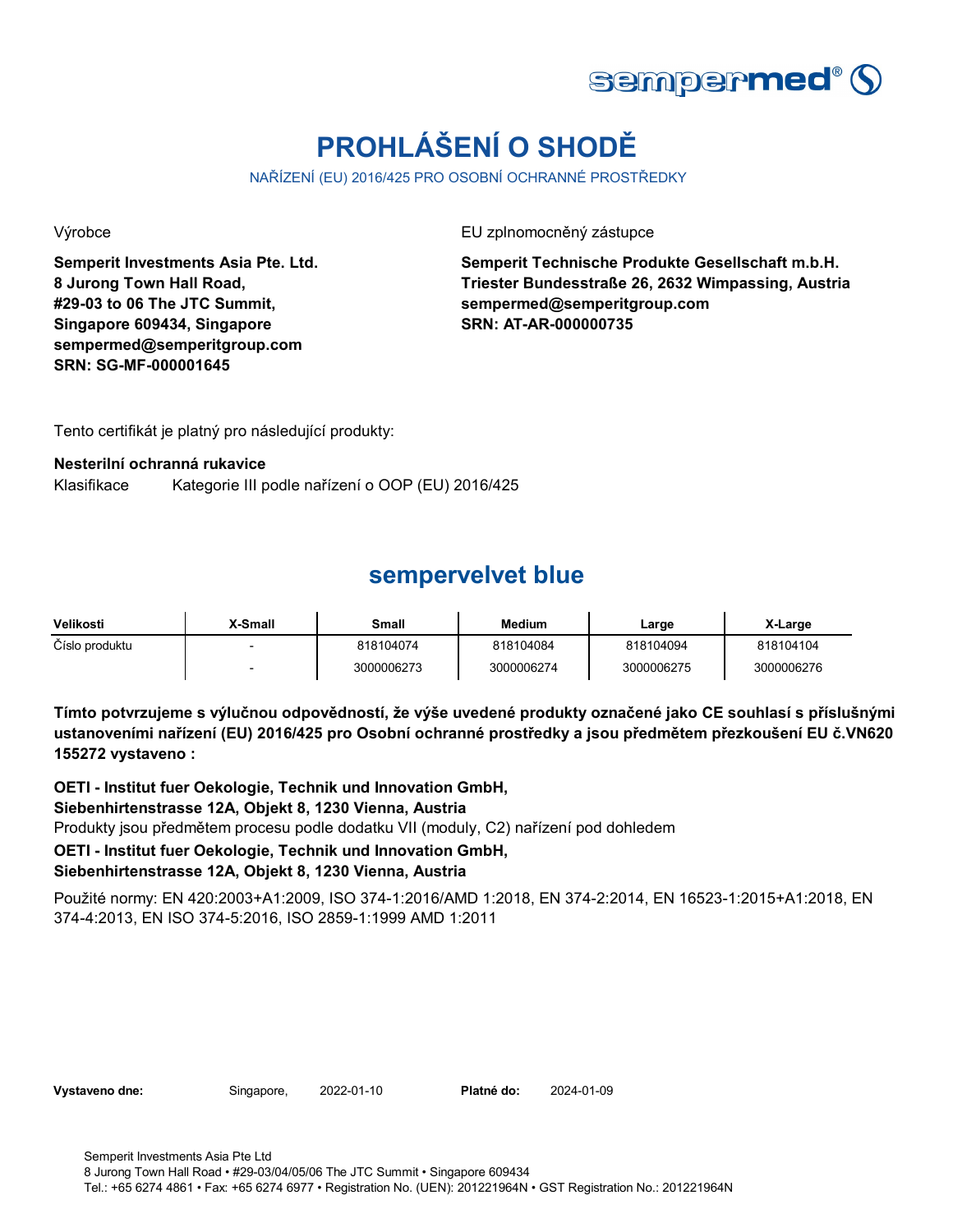

# **PROHLÁŠENÍ O SHODĚ**

NAŘÍZENÍ (EU) 2016/425 PRO OSOBNÍ OCHRANNÉ PROSTŘEDKY

**Semperit Investments Asia Pte. Ltd. 8 Jurong Town Hall Road, #29-03 to 06 The JTC Summit, Singapore 609434, Singapore sempermed@semperitgroup.com SRN: SG-MF-000001645**

Výrobce EU zplnomocněný zástupce

**Semperit Technische Produkte Gesellschaft m.b.H. Triester Bundesstraße 26, 2632 Wimpassing, Austria sempermed@semperitgroup.com SRN: AT-AR-000000735**

Tento certifikát je platný pro následující produkty:

### **Nesterilní ochranná rukavice**

Klasifikace Kategorie III podle nařízení o OOP (EU) 2016/425

### **sempervelvet blue**

| Velikosti      | X-Small | Small      | Medium     | ∟arge      | X-Large    |
|----------------|---------|------------|------------|------------|------------|
| Číslo produktu |         | 818104074  | 818104084  | 818104094  | 818104104  |
|                |         | 3000006273 | 3000006274 | 3000006275 | 3000006276 |

**Tímto potvrzujeme s výlučnou odpovědností, že výše uvedené produkty označené jako CE souhlasí s příslušnými ustanoveními nařízení (EU) 2016/425 pro Osobní ochranné prostředky a jsou předmětem přezkoušení EU č.VN620 155272 vystaveno :**

**OETI - Institut fuer Oekologie, Technik und Innovation GmbH,**  Produkty jsou předmětem procesu podle dodatku VII (moduly, C2) nařízení pod dohledem **OETI - Institut fuer Oekologie, Technik und Innovation GmbH, Siebenhirtenstrasse 12A, Objekt 8, 1230 Vienna, Austria**

### **Siebenhirtenstrasse 12A, Objekt 8, 1230 Vienna, Austria**

Použité normy: EN 420:2003+A1:2009, ISO 374-1:2016/AMD 1:2018, EN 374-2:2014, EN 16523-1:2015+A1:2018, EN 374-4:2013, EN ISO 374-5:2016, ISO 2859-1:1999 AMD 1:2011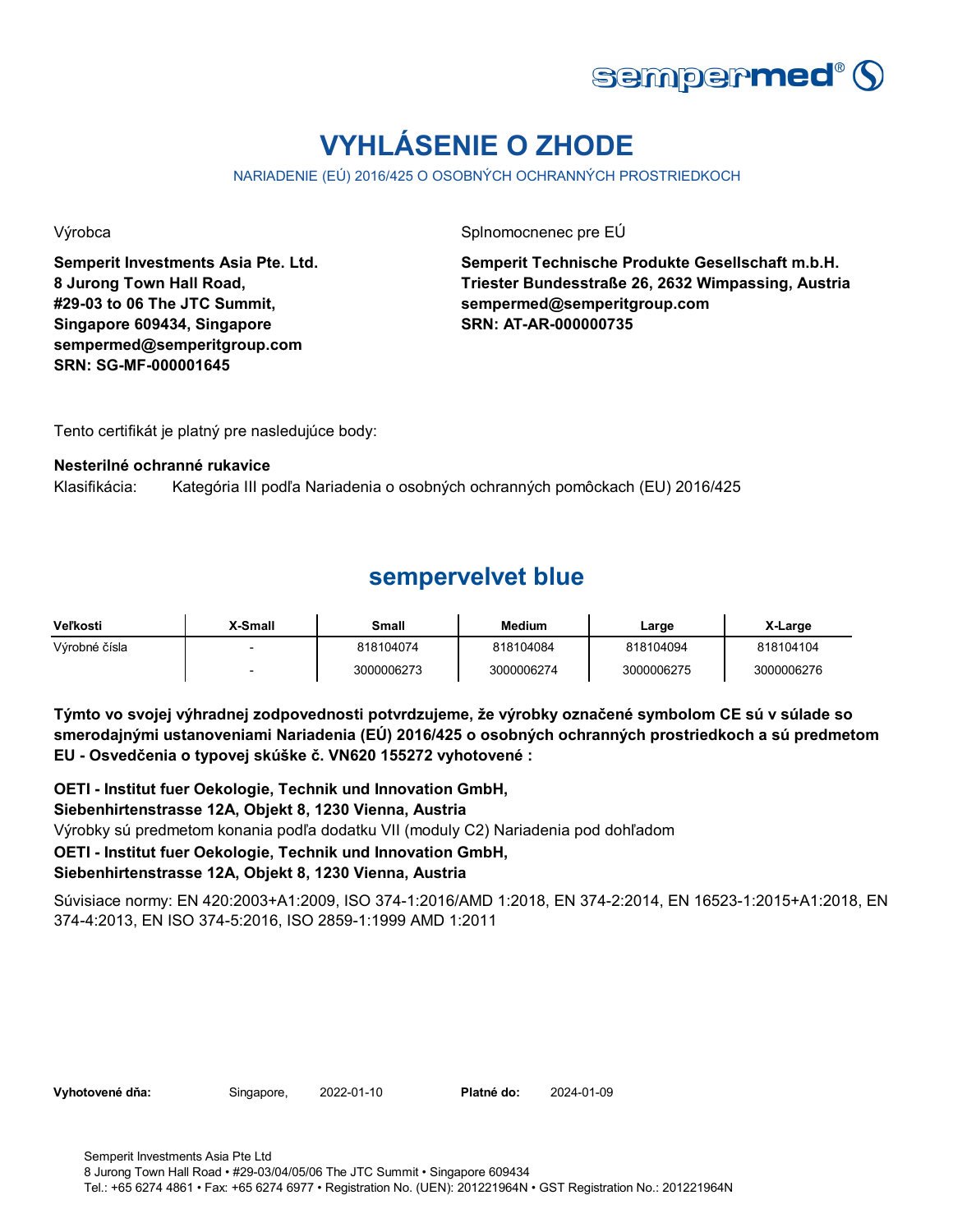

# **VYHLÁSENIE O ZHODE**

NARIADENIE (EÚ) 2016/425 O OSOBNÝCH OCHRANNÝCH PROSTRIEDKOCH

**Semperit Investments Asia Pte. Ltd. 8 Jurong Town Hall Road, #29-03 to 06 The JTC Summit, Singapore 609434, Singapore sempermed@semperitgroup.com SRN: SG-MF-000001645**

Výrobca **Splnomocnenec pre EÚ** 

**Semperit Technische Produkte Gesellschaft m.b.H. Triester Bundesstraße 26, 2632 Wimpassing, Austria sempermed@semperitgroup.com SRN: AT-AR-000000735**

Tento certifikát je platný pre nasledujúce body:

### **Nesterilné ochranné rukavice**

Klasifikácia: Kategória III podľa Nariadenia o osobných ochranných pomôckach (EU) 2016/425

### **sempervelvet blue**

| Veľkosti      | X-Small                  | Small      | <b>Medium</b> | Large      | X-Large    |
|---------------|--------------------------|------------|---------------|------------|------------|
| Výrobné čísla |                          | 818104074  | 818104084     | 818104094  | 818104104  |
|               | $\overline{\phantom{a}}$ | 3000006273 | 3000006274    | 3000006275 | 3000006276 |

**Týmto vo svojej výhradnej zodpovednosti potvrdzujeme, že výrobky označené symbolom CE sú v súlade so smerodajnými ustanoveniami Nariadenia (EÚ) 2016/425 o osobných ochranných prostriedkoch a sú predmetom EU - Osvedčenia o typovej skúške č. VN620 155272 vyhotovené :**

**OETI - Institut fuer Oekologie, Technik und Innovation GmbH,** 

### **Siebenhirtenstrasse 12A, Objekt 8, 1230 Vienna, Austria**

Výrobky sú predmetom konania podľa dodatku VII (moduly C2) Nariadenia pod dohľadom

### **OETI - Institut fuer Oekologie, Technik und Innovation GmbH,**

### **Siebenhirtenstrasse 12A, Objekt 8, 1230 Vienna, Austria**

Súvisiace normy: EN 420:2003+A1:2009, ISO 374-1:2016/AMD 1:2018, EN 374-2:2014, EN 16523-1:2015+A1:2018, EN 374-4:2013, EN ISO 374-5:2016, ISO 2859-1:1999 AMD 1:2011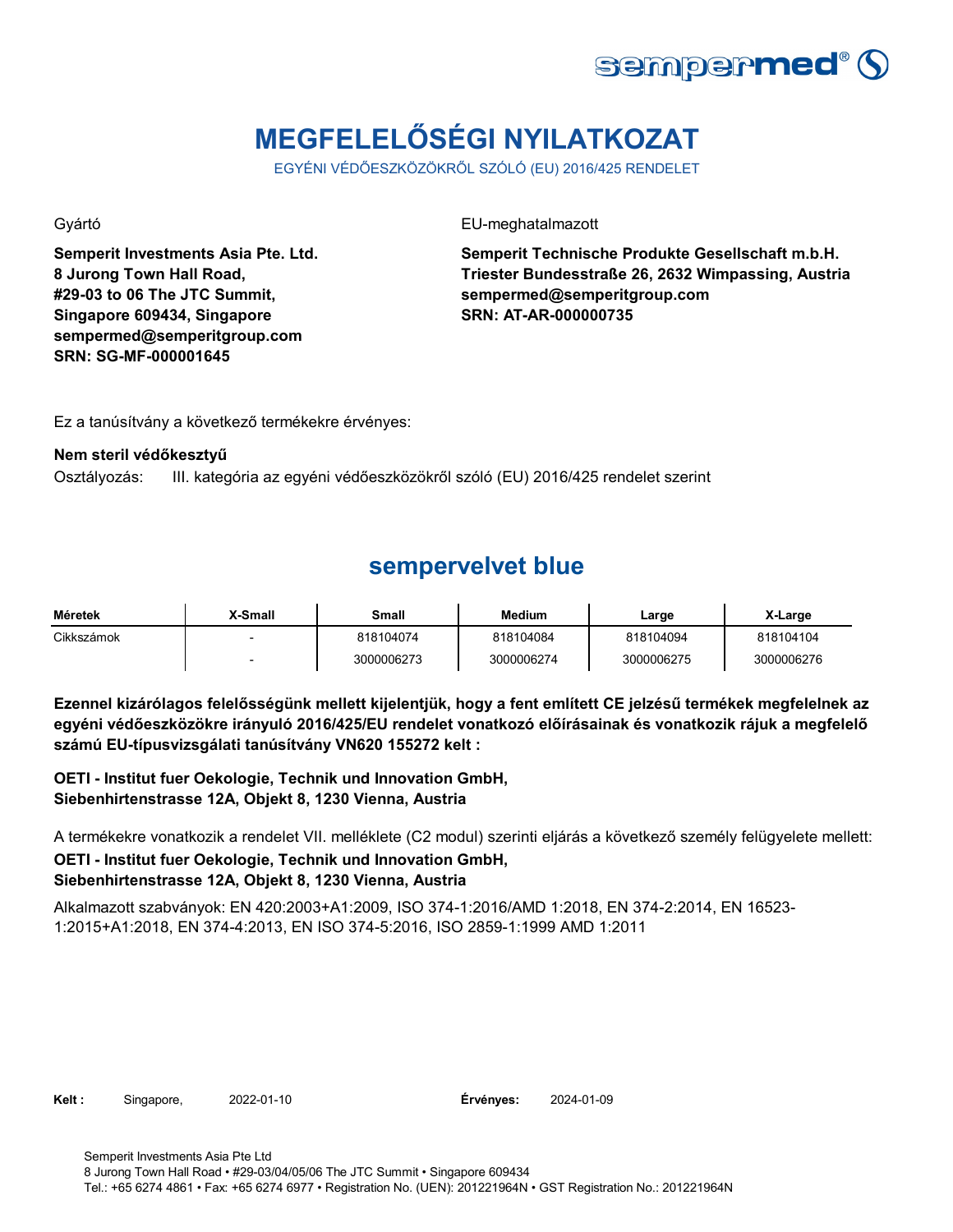

# **MEGFELELŐSÉGI NYILATKOZAT**

EGYÉNI VÉDŐESZKÖZÖKRŐL SZÓLÓ (EU) 2016/425 RENDELET

**Semperit Investments Asia Pte. Ltd. 8 Jurong Town Hall Road, #29-03 to 06 The JTC Summit, Singapore 609434, Singapore sempermed@semperitgroup.com SRN: SG-MF-000001645**

Gyártó EU-meghatalmazott

**Semperit Technische Produkte Gesellschaft m.b.H. Triester Bundesstraße 26, 2632 Wimpassing, Austria sempermed@semperitgroup.com SRN: AT-AR-000000735**

Ez a tanúsítvány a következő termékekre érvényes:

### **Nem steril védőkesztyű**

Osztályozás: III. kategória az egyéni védőeszközökről szóló (EU) 2016/425 rendelet szerint

### **sempervelvet blue**

| Méretek    | X-Small                  | Small      | Medium     | Large      | X-Large    |
|------------|--------------------------|------------|------------|------------|------------|
| Cikkszámok | $\overline{\phantom{0}}$ | 818104074  | 818104084  | 818104094  | 818104104  |
|            |                          | 3000006273 | 3000006274 | 3000006275 | 3000006276 |

**Ezennel kizárólagos felelősségünk mellett kijelentjük, hogy a fent említett CE jelzésű termékek megfelelnek az egyéni védőeszközökre irányuló 2016/425/EU rendelet vonatkozó előírásainak és vonatkozik rájuk a megfelelő számú EU-típusvizsgálati tanúsítvány VN620 155272 kelt :**

**OETI - Institut fuer Oekologie, Technik und Innovation GmbH, Siebenhirtenstrasse 12A, Objekt 8, 1230 Vienna, Austria**

**OETI - Institut fuer Oekologie, Technik und Innovation GmbH, Siebenhirtenstrasse 12A, Objekt 8, 1230 Vienna, Austria** A termékekre vonatkozik a rendelet VII. melléklete (C2 modul) szerinti eljárás a következő személy felügyelete mellett:

Alkalmazott szabványok: EN 420:2003+A1:2009, ISO 374-1:2016/AMD 1:2018, EN 374-2:2014, EN 16523- 1:2015+A1:2018, EN 374-4:2013, EN ISO 374-5:2016, ISO 2859-1:1999 AMD 1:2011

**Kelt :** Singapore, 2022-01-10 **Érvényes:** 2024-01-09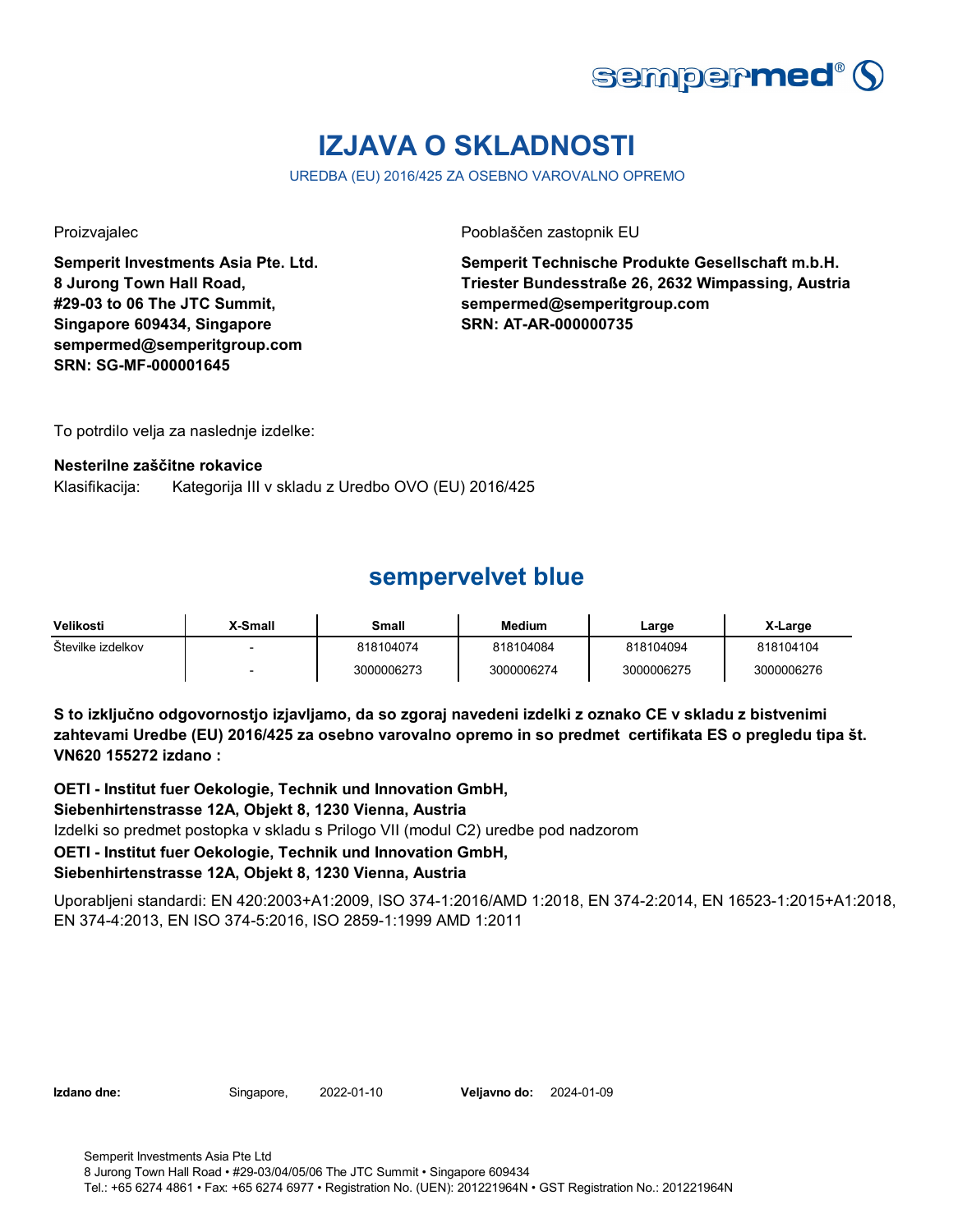

# **IZJAVA O SKLADNOSTI**

UREDBA (EU) 2016/425 ZA OSEBNO VAROVALNO OPREMO

**Semperit Investments Asia Pte. Ltd. 8 Jurong Town Hall Road, #29-03 to 06 The JTC Summit, Singapore 609434, Singapore sempermed@semperitgroup.com SRN: SG-MF-000001645**

Proizvajalec Pooblaščen zastopnik EU

**Semperit Technische Produkte Gesellschaft m.b.H. Triester Bundesstraße 26, 2632 Wimpassing, Austria sempermed@semperitgroup.com SRN: AT-AR-000000735**

To potrdilo velja za naslednje izdelke:

### **Nesterilne zaščitne rokavice**

Klasifikacija: Kategorija III v skladu z Uredbo OVO (EU) 2016/425

### **sempervelvet blue**

| Velikosti         | X-Small | Small      | <b>Medium</b> | Large      | X-Large    |
|-------------------|---------|------------|---------------|------------|------------|
| Stevilke izdelkov |         | 818104074  | 818104084     | 818104094  | 818104104  |
|                   |         | 3000006273 | 3000006274    | 3000006275 | 3000006276 |

**S to izključno odgovornostjo izjavljamo, da so zgoraj navedeni izdelki z oznako CE v skladu z bistvenimi zahtevami Uredbe (EU) 2016/425 za osebno varovalno opremo in so predmet certifikata ES o pregledu tipa št. VN620 155272 izdano :**

**OETI - Institut fuer Oekologie, Technik und Innovation GmbH,** 

### **Siebenhirtenstrasse 12A, Objekt 8, 1230 Vienna, Austria**

Izdelki so predmet postopka v skladu s Prilogo VII (modul C2) uredbe pod nadzorom

### **OETI - Institut fuer Oekologie, Technik und Innovation GmbH,**

### **Siebenhirtenstrasse 12A, Objekt 8, 1230 Vienna, Austria**

Uporabljeni standardi: EN 420:2003+A1:2009, ISO 374-1:2016/AMD 1:2018, EN 374-2:2014, EN 16523-1:2015+A1:2018, EN 374-4:2013, EN ISO 374-5:2016, ISO 2859-1:1999 AMD 1:2011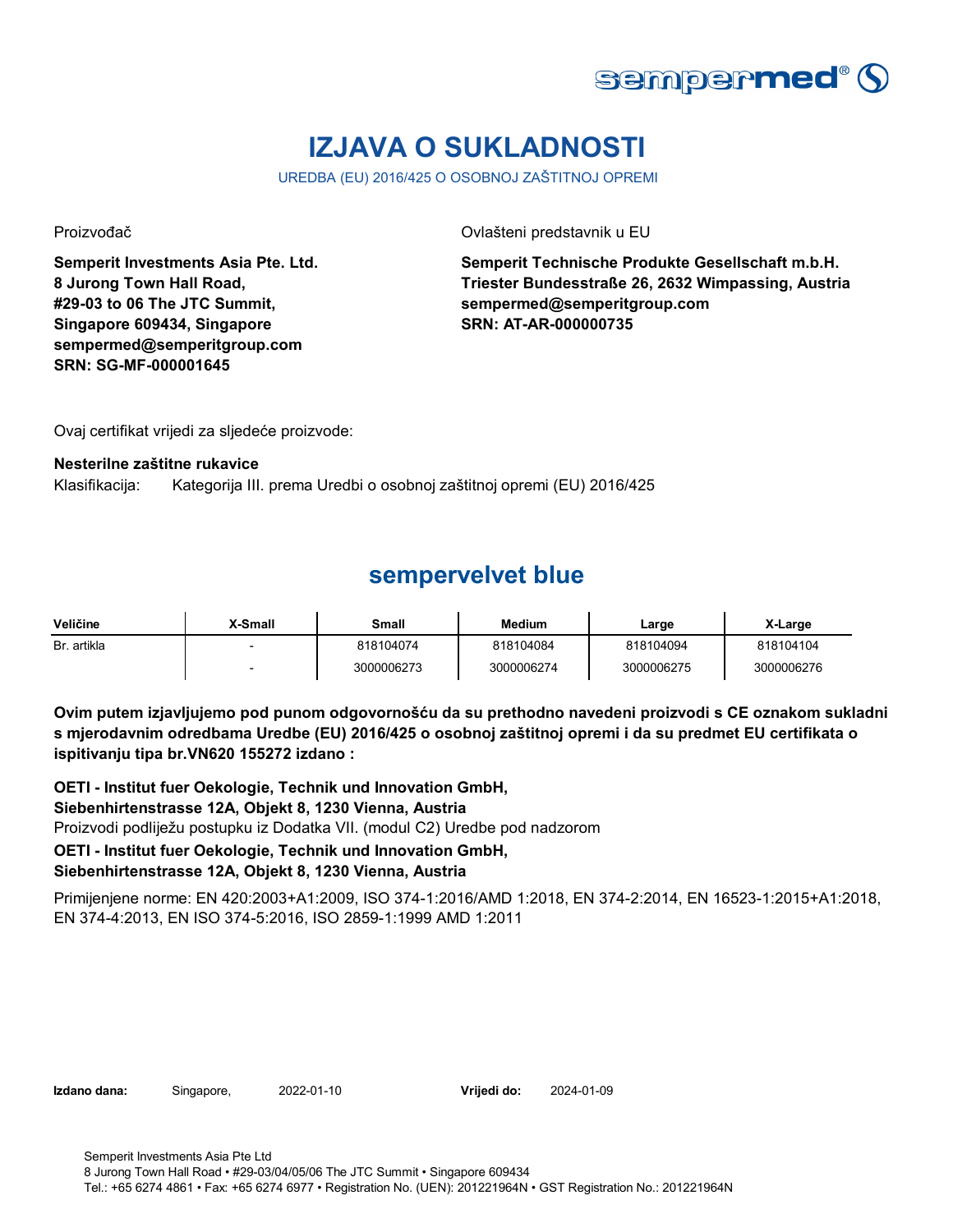

# **IZJAVA O SUKLADNOSTI**

UREDBA (EU) 2016/425 O OSOBNOJ ZAŠTITNOJ OPREMI

**Semperit Investments Asia Pte. Ltd. 8 Jurong Town Hall Road, #29-03 to 06 The JTC Summit, Singapore 609434, Singapore sempermed@semperitgroup.com SRN: SG-MF-000001645**

Proizvođač Ovlašteni predstavnik u EU

**Semperit Technische Produkte Gesellschaft m.b.H. Triester Bundesstraße 26, 2632 Wimpassing, Austria sempermed@semperitgroup.com SRN: AT-AR-000000735**

Ovaj certifikat vrijedi za sljedeće proizvode:

#### **Nesterilne zaštitne rukavice**

Klasifikacija: Kategorija III. prema Uredbi o osobnoj zaštitnoj opremi (EU) 2016/425

### **sempervelvet blue**

| Veličine    | X-Small | Small      | <b>Medium</b> | Large      | X-Large    |
|-------------|---------|------------|---------------|------------|------------|
| Br. artikla |         | 818104074  | 818104084     | 818104094  | 818104104  |
|             |         | 3000006273 | 3000006274    | 3000006275 | 3000006276 |

**Ovim putem izjavljujemo pod punom odgovornošću da su prethodno navedeni proizvodi s CE oznakom sukladni s mjerodavnim odredbama Uredbe (EU) 2016/425 o osobnoj zaštitnoj opremi i da su predmet EU certifikata o ispitivanju tipa br.VN620 155272 izdano :**

**OETI - Institut fuer Oekologie, Technik und Innovation GmbH, Siebenhirtenstrasse 12A, Objekt 8, 1230 Vienna, Austria** Proizvodi podliježu postupku iz Dodatka VII. (modul C2) Uredbe pod nadzorom **OETI - Institut fuer Oekologie, Technik und Innovation GmbH, Siebenhirtenstrasse 12A, Objekt 8, 1230 Vienna, Austria**

Primijenjene norme: EN 420:2003+A1:2009, ISO 374-1:2016/AMD 1:2018, EN 374-2:2014, EN 16523-1:2015+A1:2018, EN 374-4:2013, EN ISO 374-5:2016, ISO 2859-1:1999 AMD 1:2011

**Izdano dana:** Singapore, 2022-01-10 **Vrijedi do:** 2024-01-09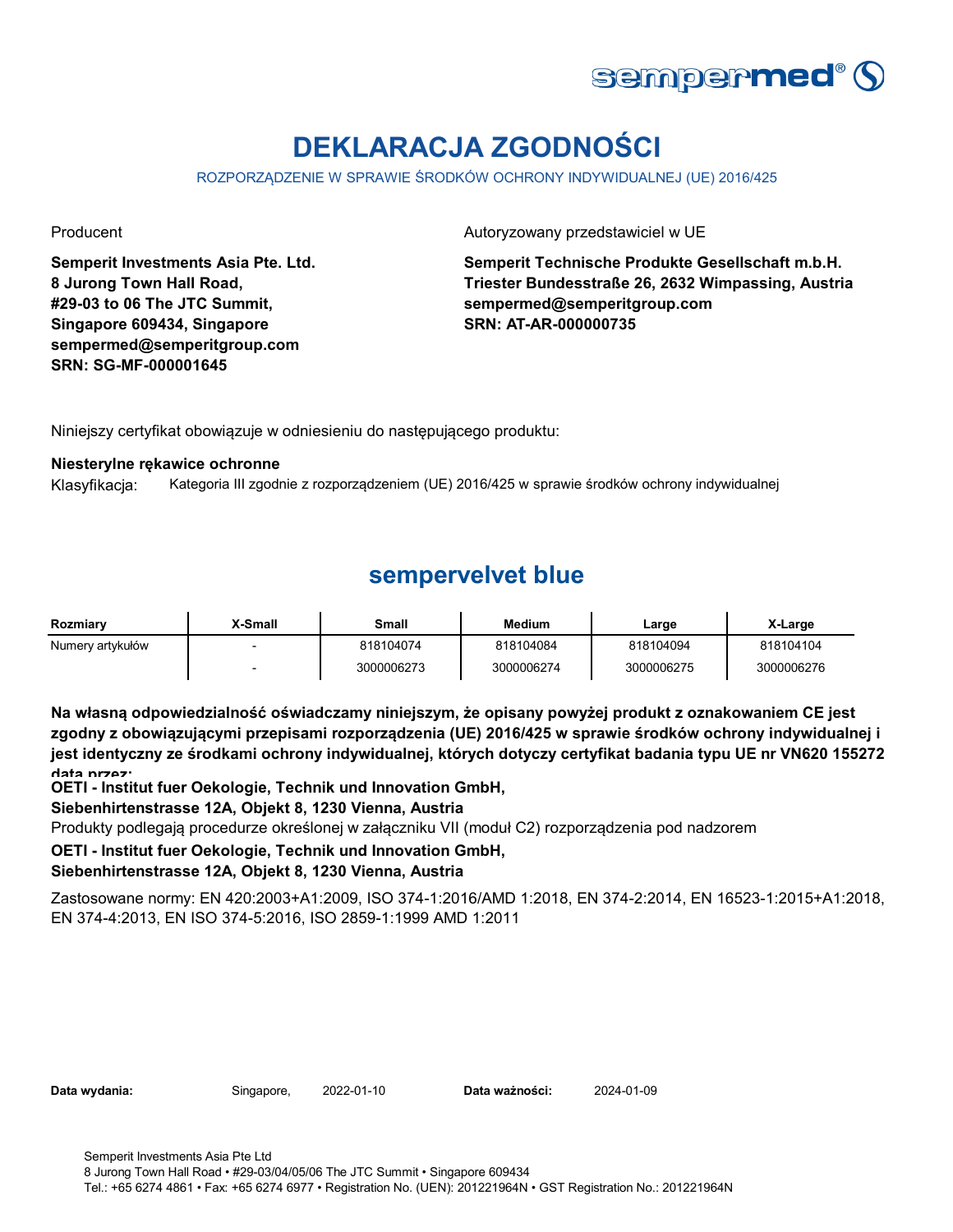

# **DEKLARACJA ZGODNOŚCI**

ROZPORZĄDZENIE W SPRAWIE ŚRODKÓW OCHRONY INDYWIDUALNEJ (UE) 2016/425

**Semperit Investments Asia Pte. Ltd. 8 Jurong Town Hall Road, #29-03 to 06 The JTC Summit, Singapore 609434, Singapore sempermed@semperitgroup.com SRN: SG-MF-000001645**

Producent **Autoryzowany przedstawiciel w UE** 

**Semperit Technische Produkte Gesellschaft m.b.H. Triester Bundesstraße 26, 2632 Wimpassing, Austria sempermed@semperitgroup.com SRN: AT-AR-000000735**

Niniejszy certyfikat obowiązuje w odniesieniu do następującego produktu:

#### **Niesterylne rękawice ochronne**

Klasyfikacja: Kategoria III zgodnie z rozporządzeniem (UE) 2016/425 w sprawie środków ochrony indywidualnej

# **sempervelvet blue**

| Rozmiarv         | <b>Y-Small</b> | Small      | <b>Medium</b> | Large      | X-Large    |
|------------------|----------------|------------|---------------|------------|------------|
| Numery artykułów |                | 818104074  | 818104084     | 818104094  | 818104104  |
|                  |                | 3000006273 | 3000006274    | 3000006275 | 3000006276 |

**Na własną odpowiedzialność oświadczamy niniejszym, że opisany powyżej produkt z oznakowaniem CE jest zgodny z obowiązującymi przepisami rozporządzenia (UE) 2016/425 w sprawie środków ochrony indywidualnej i jest identyczny ze środkami ochrony indywidualnej, których dotyczy certyfikat badania typu UE nr VN620 155272 data przez:**

**OETI - Institut fuer Oekologie, Technik und Innovation GmbH,** 

### **Siebenhirtenstrasse 12A, Objekt 8, 1230 Vienna, Austria**

Produkty podlegają procedurze określonej w załączniku VII (moduł C2) rozporządzenia pod nadzorem

### **OETI - Institut fuer Oekologie, Technik und Innovation GmbH,**

### **Siebenhirtenstrasse 12A, Objekt 8, 1230 Vienna, Austria**

Zastosowane normy: EN 420:2003+A1:2009, ISO 374-1:2016/AMD 1:2018, EN 374-2:2014, EN 16523-1:2015+A1:2018, EN 374-4:2013, EN ISO 374-5:2016, ISO 2859-1:1999 AMD 1:2011

| Data wydania: |  |  |
|---------------|--|--|
|---------------|--|--|

**Data wydania:** Singapore, 2022-01-10 **Data ważności:** 2024-01-09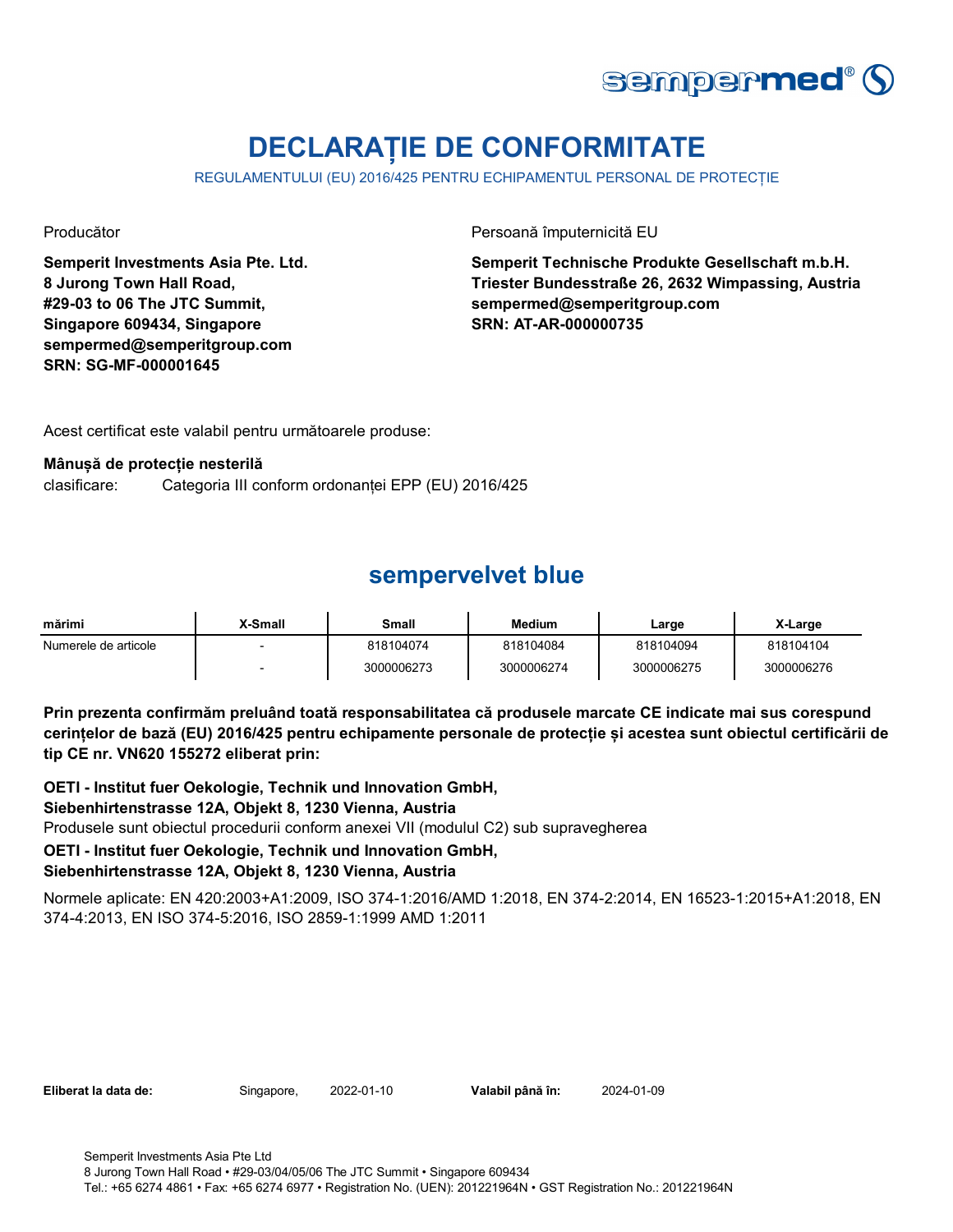

# **DECLARAȚIE DE CONFORMITATE**

REGULAMENTULUI (EU) 2016/425 PENTRU ECHIPAMENTUL PERSONAL DE PROTECȚIE

**Semperit Investments Asia Pte. Ltd. 8 Jurong Town Hall Road, #29-03 to 06 The JTC Summit, Singapore 609434, Singapore sempermed@semperitgroup.com SRN: SG-MF-000001645**

Producător **Producător** Persoană împuternicită EU

**Semperit Technische Produkte Gesellschaft m.b.H. Triester Bundesstraße 26, 2632 Wimpassing, Austria sempermed@semperitgroup.com SRN: AT-AR-000000735**

Acest certificat este valabil pentru următoarele produse:

### **Mânușă de protecție nesterilă**

clasificare: Categoria III conform ordonanței EPP (EU) 2016/425

# **sempervelvet blue**

| mărimi               | X-Small | Small      | <b>Medium</b> | Large      | X-Large    |
|----------------------|---------|------------|---------------|------------|------------|
| Numerele de articole |         | 818104074  | 818104084     | 818104094  | 818104104  |
|                      |         | 3000006273 | 3000006274    | 3000006275 | 3000006276 |

**Prin prezenta confirmăm preluând toată responsabilitatea că produsele marcate CE indicate mai sus corespund cerințelor de bază (EU) 2016/425 pentru echipamente personale de protecție și acestea sunt obiectul certificării de tip CE nr. VN620 155272 eliberat prin:**

**OETI - Institut fuer Oekologie, Technik und Innovation GmbH,** 

### **Siebenhirtenstrasse 12A, Objekt 8, 1230 Vienna, Austria**

Produsele sunt obiectul procedurii conform anexei VII (modulul C2) sub supravegherea

### **OETI - Institut fuer Oekologie, Technik und Innovation GmbH,**

### **Siebenhirtenstrasse 12A, Objekt 8, 1230 Vienna, Austria**

Normele aplicate: EN 420:2003+A1:2009, ISO 374-1:2016/AMD 1:2018, EN 374-2:2014, EN 16523-1:2015+A1:2018, EN 374-4:2013, EN ISO 374-5:2016, ISO 2859-1:1999 AMD 1:2011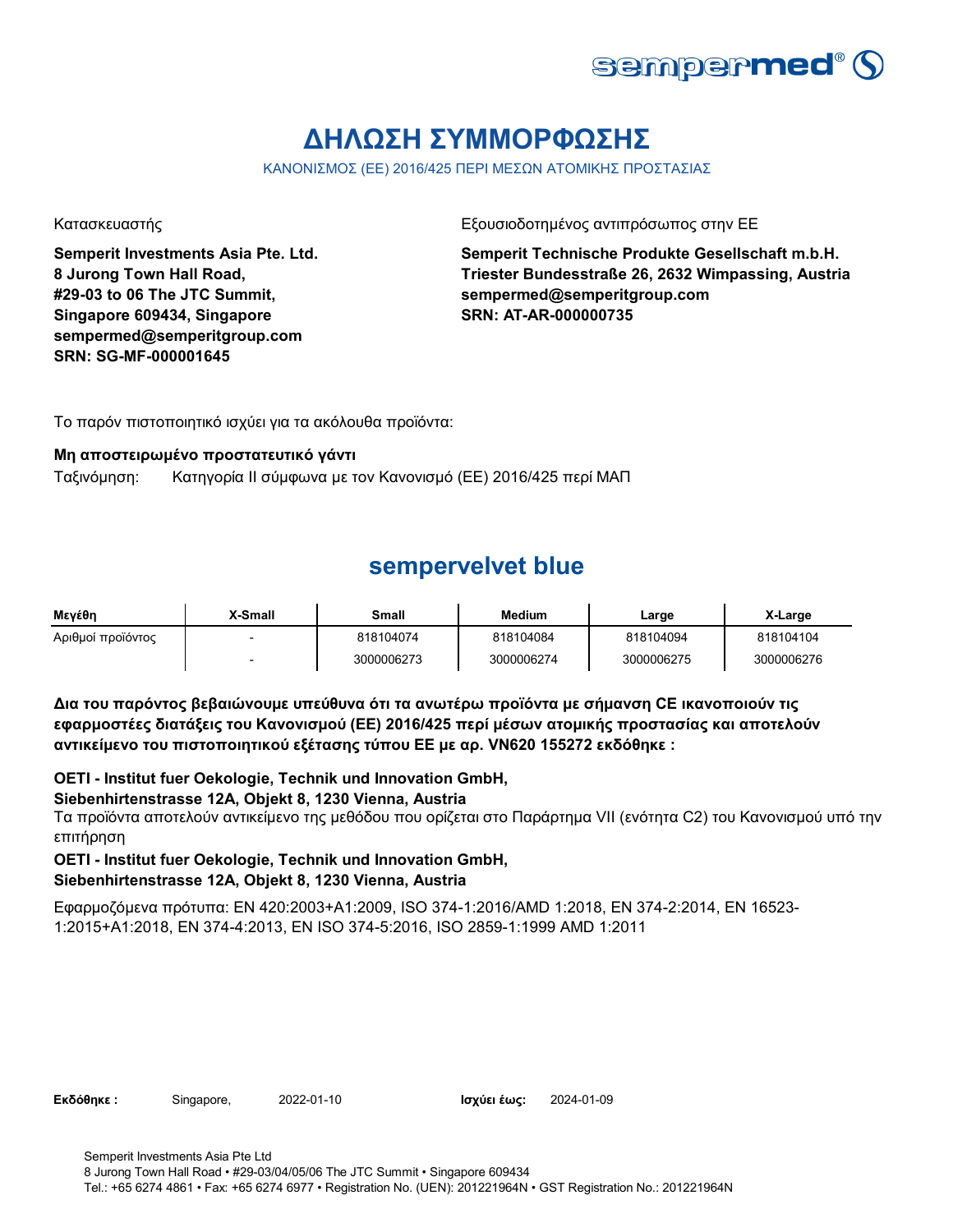

# **ΔΗΛΩΣΗ ΣΥΜΜΟΡΦΩΣΗΣ**

ΚΑΝΟΝΙΣΜΟΣ (ΕΕ) 2016/425 ΠΕΡΙ ΜΕΣΩΝ ΑΤΟΜΙΚΗΣ ΠΡΟΣΤΑΣΙΑΣ

**Semperit Investments Asia Pte. Ltd. 8 Jurong Town Hall Road, #29-03 to 06 The JTC Summit, Singapore 609434, Singapore sempermed@semperitgroup.com SRN: SG-MF-000001645**

Κατασκευαστής Γεριοδοτημένος αντιπρόσωπος στην ΕΕ

**Semperit Technische Produkte Gesellschaft m.b.H. Triester Bundesstraße 26, 2632 Wimpassing, Austria sempermed@semperitgroup.com SRN: AT-AR-000000735**

Το παρόν πιστοποιητικό ισχύει για τα ακόλουθα προϊόντα:

### **Μη αποστειρωμένο προστατευτικό γάντι**

Ταξινόμηση: Κατηγορία II σύμφωνα με τον Κανονισμό (ΕΕ) 2016/425 περί ΜΑΠ

### **sempervelvet blue**

| Μενέθη            | X-Small | <b>Small</b> | <b>Medium</b> | Large      | X-Large    |
|-------------------|---------|--------------|---------------|------------|------------|
| Αριθμοί προϊόντος | $\sim$  | 818104074    | 818104084     | 818104094  | 818104104  |
|                   | -       | 3000006273   | 3000006274    | 3000006275 | 3000006276 |

**Δια του παρόντος βεβαιώνουμε υπεύθυνα ότι τα ανωτέρω προϊόντα με σήμανση CE ικανοποιούν τις εφαρμοστέες διατάξεις του Κανονισμού (ΕΕ) 2016/425 περί μέσων ατομικής προστασίας και αποτελούν αντικείμενο του πιστοποιητικού εξέτασης τύπου ΕΕ με αρ. VN620 155272 εκδόθηκε :**

**OETI - Institut fuer Oekologie, Technik und Innovation GmbH,** 

### **Siebenhirtenstrasse 12A, Objekt 8, 1230 Vienna, Austria**

Τα προϊόντα αποτελούν αντικείμενο της μεθόδου που ορίζεται στο Παράρτημα VII (ενότητα C2) του Κανονισμού υπό την επιτήρηση

### **OETI - Institut fuer Oekologie, Technik und Innovation GmbH,**

### **Siebenhirtenstrasse 12A, Objekt 8, 1230 Vienna, Austria**

Εφαρμοζόμενα πρότυπα: EN 420:2003+A1:2009, ISO 374-1:2016/AMD 1:2018, EN 374-2:2014, EN 16523- 1:2015+A1:2018, EN 374-4:2013, EN ISO 374-5:2016, ISO 2859-1:1999 AMD 1:2011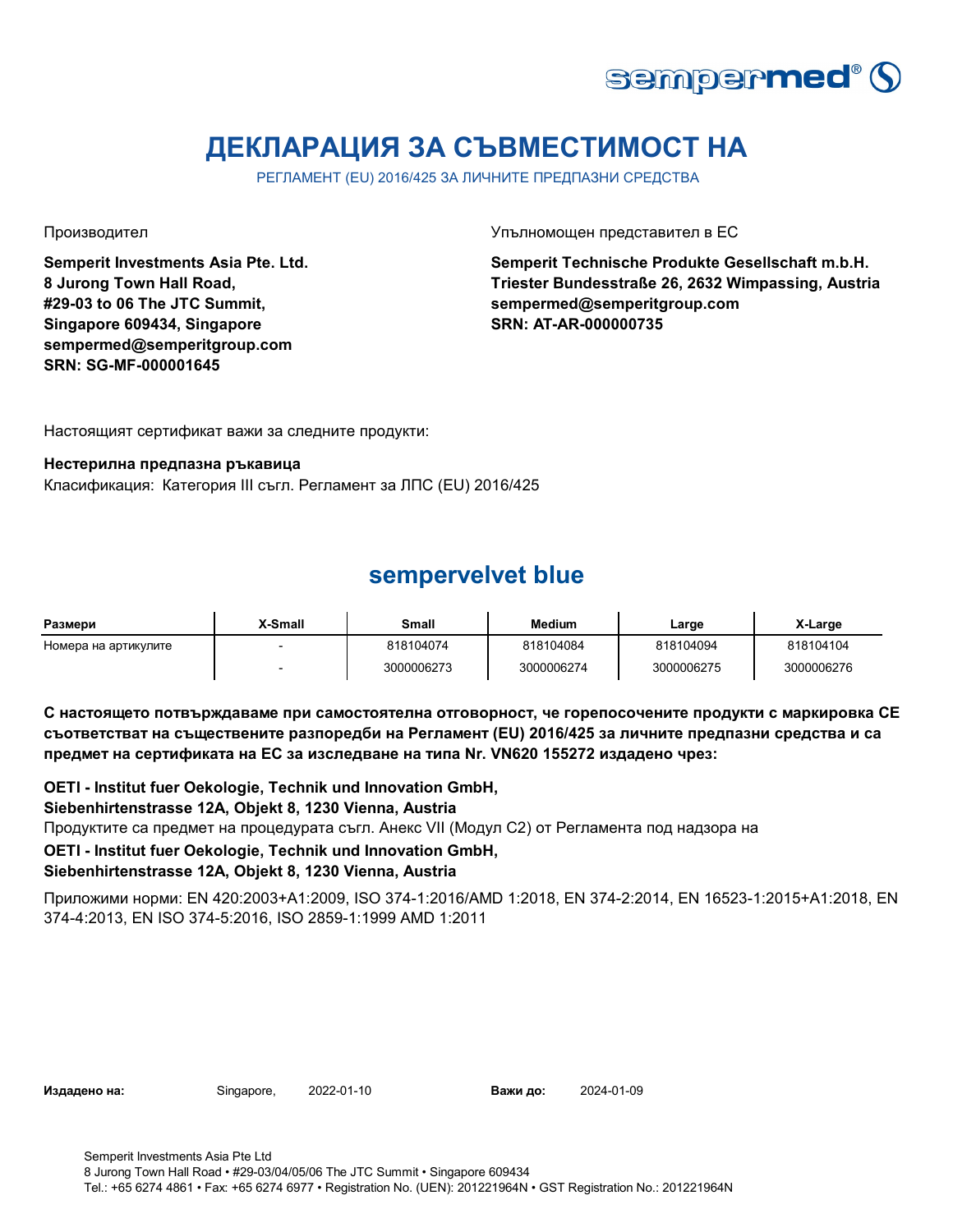

# **ДЕКЛАРАЦИЯ ЗА СЪВМЕСТИМОСТ НА**

РЕГЛАМЕНТ (EU) 2016/425 ЗА ЛИЧНИТЕ ПРЕДПАЗНИ СРЕДСТВА

**Semperit Investments Asia Pte. Ltd. 8 Jurong Town Hall Road, #29-03 to 06 The JTC Summit, Singapore 609434, Singapore sempermed@semperitgroup.com SRN: SG-MF-000001645**

Производител Упълномощен представител в ЕС

**Semperit Technische Produkte Gesellschaft m.b.H. Triester Bundesstraße 26, 2632 Wimpassing, Austria sempermed@semperitgroup.com SRN: AT-AR-000000735**

Настоящият сертификат важи за следните продукти:

#### **Нестерилна предпазна ръкавица**

Класификация: Категория III съгл. Регламент за ЛПС (EU) 2016/425

### **sempervelvet blue**

| Размери              | X-Small | Small      | Medium     | Large      | X-Large    |
|----------------------|---------|------------|------------|------------|------------|
| Номера на артикулите |         | 818104074  | 818104084  | 818104094  | 818104104  |
|                      |         | 3000006273 | 3000006274 | 3000006275 | 3000006276 |

**С настоящето потвърждаваме при самостоятелна отговорност, че горепосочените продукти с маркировка СЕ съответстват на съществените разпоредби на Регламент (EU) 2016/425 за личните предпазни средства и са предмет на сертификата на ЕС за изследване на типа Nr. VN620 155272 издадено чрез:**

**OETI - Institut fuer Oekologie, Technik und Innovation GmbH,** 

### **Siebenhirtenstrasse 12A, Objekt 8, 1230 Vienna, Austria**

Продуктите са предмет на процедурата съгл. Анекс VII (Модул С2) от Регламента под надзора на

### **OETI - Institut fuer Oekologie, Technik und Innovation GmbH,**

### **Siebenhirtenstrasse 12A, Objekt 8, 1230 Vienna, Austria**

Приложими норми: EN 420:2003+A1:2009, ISO 374-1:2016/AMD 1:2018, EN 374-2:2014, EN 16523-1:2015+A1:2018, EN 374-4:2013, EN ISO 374-5:2016, ISO 2859-1:1999 AMD 1:2011